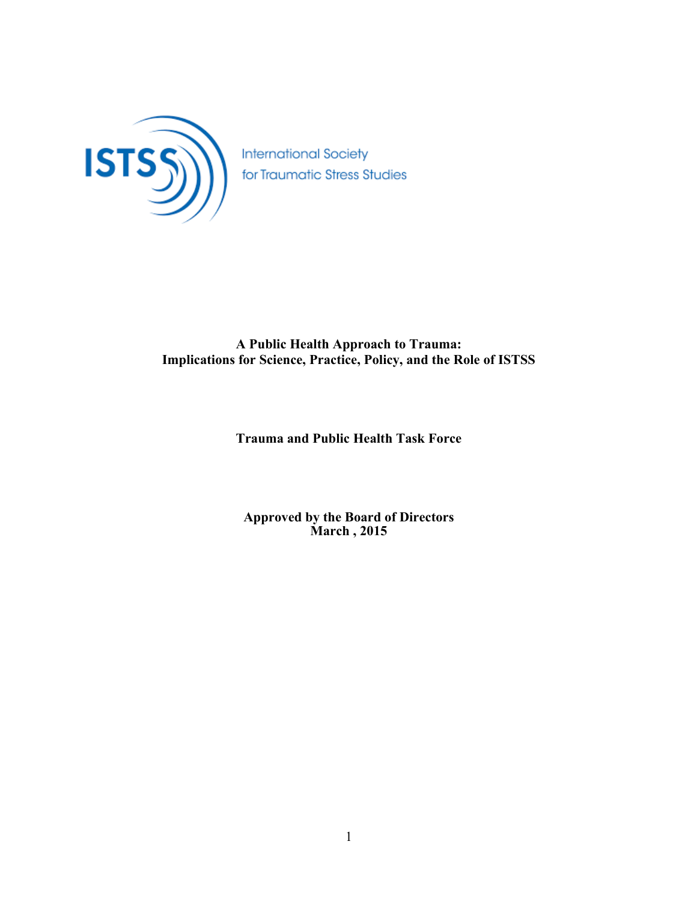

**International Society** for Traumatic Stress Studies

# **A Public Health Approach to Trauma: Implications for Science, Practice, Policy, and the Role of ISTSS**

# **Trauma and Public Health Task Force**

**Approved by the Board of Directors March , 2015**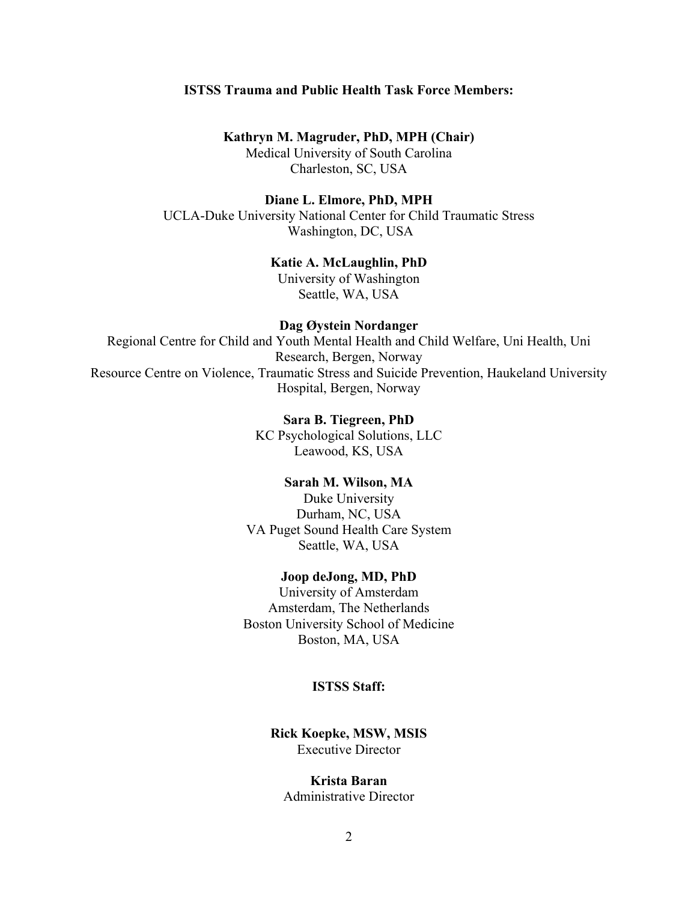#### **ISTSS Trauma and Public Health Task Force Members:**

#### **Kathryn M. Magruder, PhD, MPH (Chair)**

Medical University of South Carolina Charleston, SC, USA

### **Diane L. Elmore, PhD, MPH**

UCLA-Duke University National Center for Child Traumatic Stress Washington, DC, USA

### **Katie A. McLaughlin, PhD**

University of Washington Seattle, WA, USA

#### **Dag Øystein Nordanger**

Regional Centre for Child and Youth Mental Health and Child Welfare, Uni Health, Uni Research, Bergen, Norway Resource Centre on Violence, Traumatic Stress and Suicide Prevention, Haukeland University Hospital, Bergen, Norway

# **Sara B. Tiegreen, PhD**

KC Psychological Solutions, LLC Leawood, KS, USA

# **Sarah M. Wilson, MA**

Duke University Durham, NC, USA VA Puget Sound Health Care System Seattle, WA, USA

#### **Joop deJong, MD, PhD**

University of Amsterdam Amsterdam, The Netherlands Boston University School of Medicine Boston, MA, USA

#### **ISTSS Staff:**

**Rick Koepke, MSW, MSIS** Executive Director

#### **Krista Baran**

Administrative Director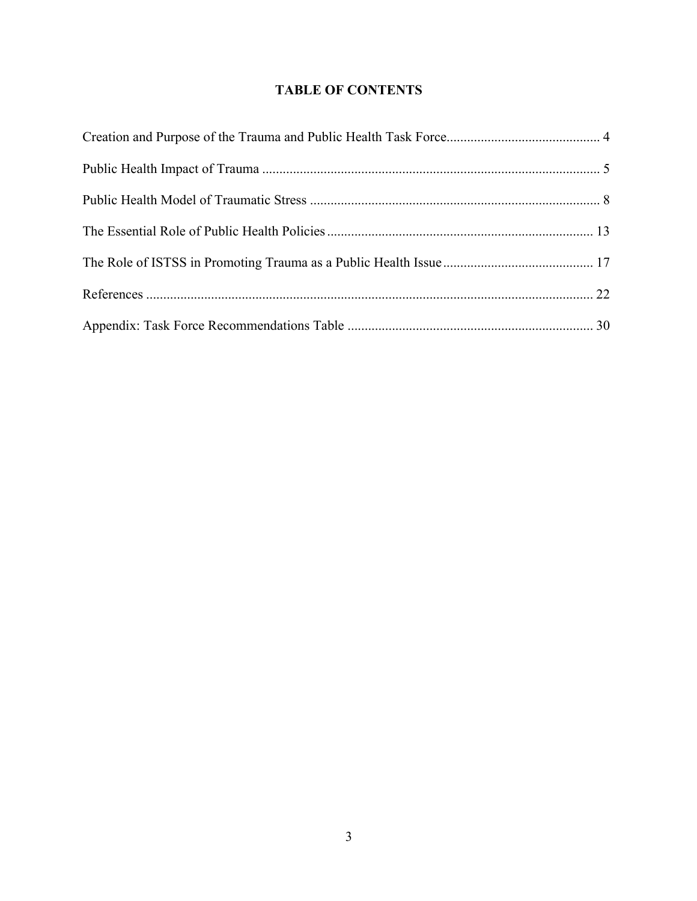# **TABLE OF CONTENTS**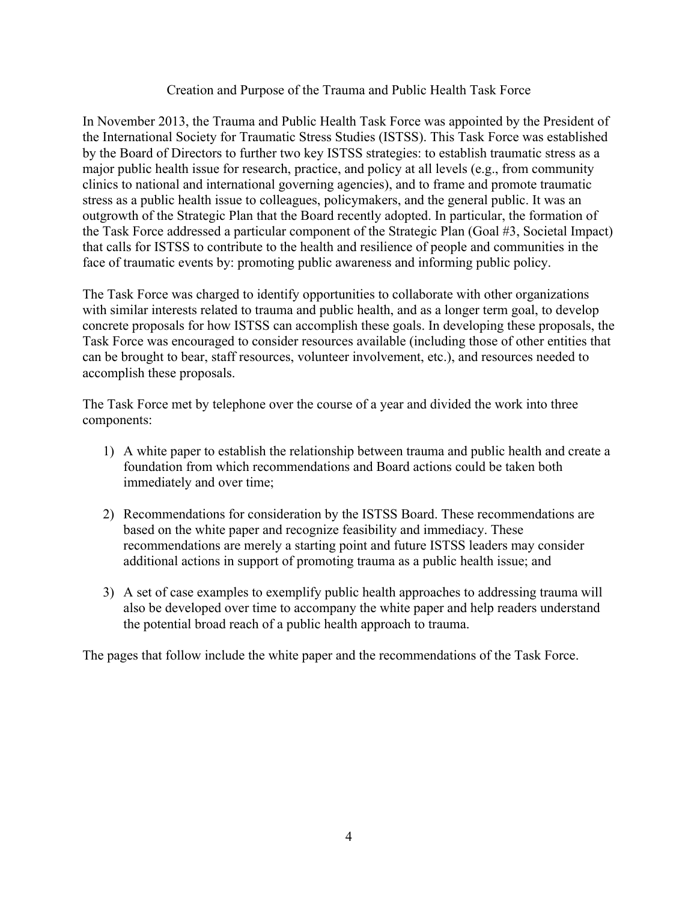### Creation and Purpose of the Trauma and Public Health Task Force

In November 2013, the Trauma and Public Health Task Force was appointed by the President of the International Society for Traumatic Stress Studies (ISTSS). This Task Force was established by the Board of Directors to further two key ISTSS strategies: to establish traumatic stress as a major public health issue for research, practice, and policy at all levels (e.g., from community clinics to national and international governing agencies), and to frame and promote traumatic stress as a public health issue to colleagues, policymakers, and the general public. It was an outgrowth of the Strategic Plan that the Board recently adopted. In particular, the formation of the Task Force addressed a particular component of the Strategic Plan (Goal #3, Societal Impact) that calls for ISTSS to contribute to the health and resilience of people and communities in the face of traumatic events by: promoting public awareness and informing public policy.

The Task Force was charged to identify opportunities to collaborate with other organizations with similar interests related to trauma and public health, and as a longer term goal, to develop concrete proposals for how ISTSS can accomplish these goals. In developing these proposals, the Task Force was encouraged to consider resources available (including those of other entities that can be brought to bear, staff resources, volunteer involvement, etc.), and resources needed to accomplish these proposals.

The Task Force met by telephone over the course of a year and divided the work into three components:

- 1) A white paper to establish the relationship between trauma and public health and create a foundation from which recommendations and Board actions could be taken both immediately and over time;
- 2) Recommendations for consideration by the ISTSS Board. These recommendations are based on the white paper and recognize feasibility and immediacy. These recommendations are merely a starting point and future ISTSS leaders may consider additional actions in support of promoting trauma as a public health issue; and
- 3) A set of case examples to exemplify public health approaches to addressing trauma will also be developed over time to accompany the white paper and help readers understand the potential broad reach of a public health approach to trauma.

The pages that follow include the white paper and the recommendations of the Task Force.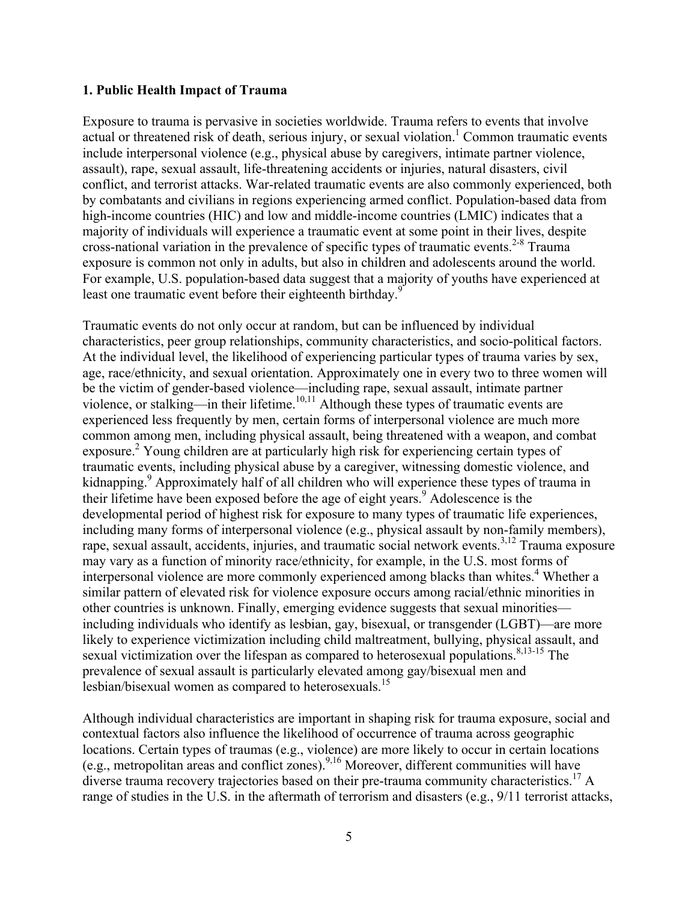#### **1. Public Health Impact of Trauma**

Exposure to trauma is pervasive in societies worldwide. Trauma refers to events that involve actual or threatened risk of death, serious injury, or sexual violation.<sup>1</sup> Common traumatic events include interpersonal violence (e.g., physical abuse by caregivers, intimate partner violence, assault), rape, sexual assault, life-threatening accidents or injuries, natural disasters, civil conflict, and terrorist attacks. War-related traumatic events are also commonly experienced, both by combatants and civilians in regions experiencing armed conflict. Population-based data from high-income countries (HIC) and low and middle-income countries (LMIC) indicates that a majority of individuals will experience a traumatic event at some point in their lives, despite cross-national variation in the prevalence of specific types of traumatic events. 2-8 Trauma exposure is common not only in adults, but also in children and adolescents around the world. For example, U.S. population-based data suggest that a majority of youths have experienced at least one traumatic event before their eighteenth birthday.<sup>9</sup>

Traumatic events do not only occur at random, but can be influenced by individual characteristics, peer group relationships, community characteristics, and socio-political factors. At the individual level, the likelihood of experiencing particular types of trauma varies by sex, age, race/ethnicity, and sexual orientation. Approximately one in every two to three women will be the victim of gender-based violence—including rape, sexual assault, intimate partner violence, or stalking—in their lifetime.<sup>10,11</sup> Although these types of traumatic events are experienced less frequently by men, certain forms of interpersonal violence are much more common among men, including physical assault, being threatened with a weapon, and combat exposure.<sup>2</sup> Young children are at particularly high risk for experiencing certain types of traumatic events, including physical abuse by a caregiver, witnessing domestic violence, and kidnapping.<sup>9</sup> Approximately half of all children who will experience these types of trauma in their lifetime have been exposed before the age of eight years.<sup>9</sup> Adolescence is the developmental period of highest risk for exposure to many types of traumatic life experiences, including many forms of interpersonal violence (e.g., physical assault by non-family members), rape, sexual assault, accidents, injuries, and traumatic social network events.<sup>3,12</sup> Trauma exposure may vary as a function of minority race/ethnicity, for example, in the U.S. most forms of interpersonal violence are more commonly experienced among blacks than whites. <sup>4</sup> Whether a similar pattern of elevated risk for violence exposure occurs among racial/ethnic minorities in other countries is unknown. Finally, emerging evidence suggests that sexual minorities including individuals who identify as lesbian, gay, bisexual, or transgender (LGBT)—are more likely to experience victimization including child maltreatment, bullying, physical assault, and sexual victimization over the lifespan as compared to heterosexual populations.<sup>8,13-15</sup> The prevalence of sexual assault is particularly elevated among gay/bisexual men and lesbian/bisexual women as compared to heterosexuals.<sup>15</sup>

Although individual characteristics are important in shaping risk for trauma exposure, social and contextual factors also influence the likelihood of occurrence of trauma across geographic locations. Certain types of traumas (e.g., violence) are more likely to occur in certain locations (e.g., metropolitan areas and conflict zones).  $9,16$  Moreover, different communities will have diverse trauma recovery trajectories based on their pre-trauma community characteristics. <sup>17</sup> A range of studies in the U.S. in the aftermath of terrorism and disasters (e.g., 9/11 terrorist attacks,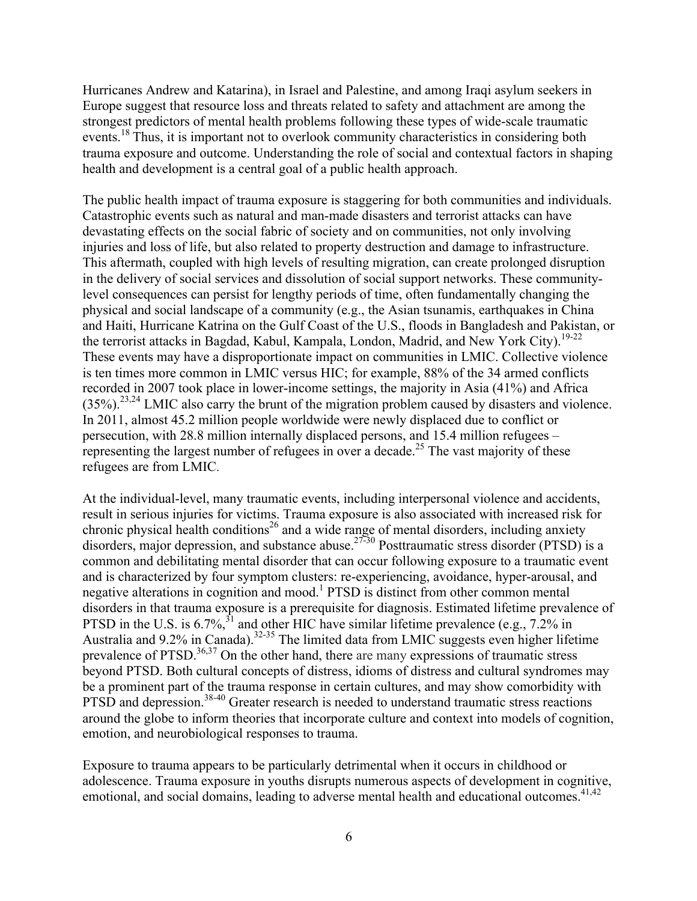Hurricanes Andrew and Katarina), in Israel and Palestine, and among Iraqi asylum seekers in Europe suggest that resource loss and threats related to safety and attachment are among the strongest predictors of mental health problems following these types of wide-scale traumatic events.<sup>18</sup> Thus, it is important not to overlook community characteristics in considering both trauma exposure and outcome. Understanding the role of social and contextual factors in shaping health and development is a central goal of a public health approach.

The public health impact of trauma exposure is staggering for both communities and individuals. Catastrophic events such as natural and man-made disasters and terrorist attacks can have devastating effects on the social fabric of society and on communities, not only involving injuries and loss of life, but also related to property destruction and damage to infrastructure. This aftermath, coupled with high levels of resulting migration, can create prolonged disruption in the delivery of social services and dissolution of social support networks. These communitylevel consequences can persist for lengthy periods of time, often fundamentally changing the physical and social landscape of a community (e.g., the Asian tsunamis, earthquakes in China and Haiti, Hurricane Katrina on the Gulf Coast of the U.S., floods in Bangladesh and Pakistan, or the terrorist attacks in Bagdad, Kabul, Kampala, London, Madrid, and New York City).<sup>19-22</sup> These events may have a disproportionate impact on communities in LMIC. Collective violence is ten times more common in LMIC versus HIC; for example, 88% of the 34 armed conflicts recorded in 2007 took place in lower-income settings, the majority in Asia (41%) and Africa  $(35\%)$ <sup>23,24</sup> LMIC also carry the brunt of the migration problem caused by disasters and violence. In 2011, almost 45.2 million people worldwide were newly displaced due to conflict or persecution, with 28.8 million internally displaced persons, and 15.4 million refugees – representing the largest number of refugees in over a decade.<sup>25</sup> The vast majority of these refugees are from LMIC.

At the individual-level, many traumatic events, including interpersonal violence and accidents, result in serious injuries for victims. Trauma exposure is also associated with increased risk for chronic physical health conditions<sup>26</sup> and a wide range of mental disorders, including anxiety disorders, major depression, and substance abuse.<sup>27-30</sup> Posttraumatic stress disorder (PTSD) is a common and debilitating mental disorder that can occur following exposure to a traumatic event and is characterized by four symptom clusters: re-experiencing, avoidance, hyper-arousal, and negative alterations in cognition and mood.<sup>1</sup> PTSD is distinct from other common mental disorders in that trauma exposure is a prerequisite for diagnosis. Estimated lifetime prevalence of PTSD in the U.S. is 6.7%,  $3^{1}$  and other HIC have similar lifetime prevalence (e.g., 7.2% in Australia and 9.2% in Canada).<sup>32-35</sup> The limited data from LMIC suggests even higher lifetime prevalence of  $PTSD$ .<sup>36,37</sup> On the other hand, there are many expressions of traumatic stress beyond PTSD. Both cultural concepts of distress, idioms of distress and cultural syndromes may be a prominent part of the trauma response in certain cultures, and may show comorbidity with PTSD and depression.<sup>38-40</sup> Greater research is needed to understand traumatic stress reactions around the globe to inform theories that incorporate culture and context into models of cognition, emotion, and neurobiological responses to trauma.

Exposure to trauma appears to be particularly detrimental when it occurs in childhood or adolescence. Trauma exposure in youths disrupts numerous aspects of development in cognitive, emotional, and social domains, leading to adverse mental health and educational outcomes.<sup>41,42</sup>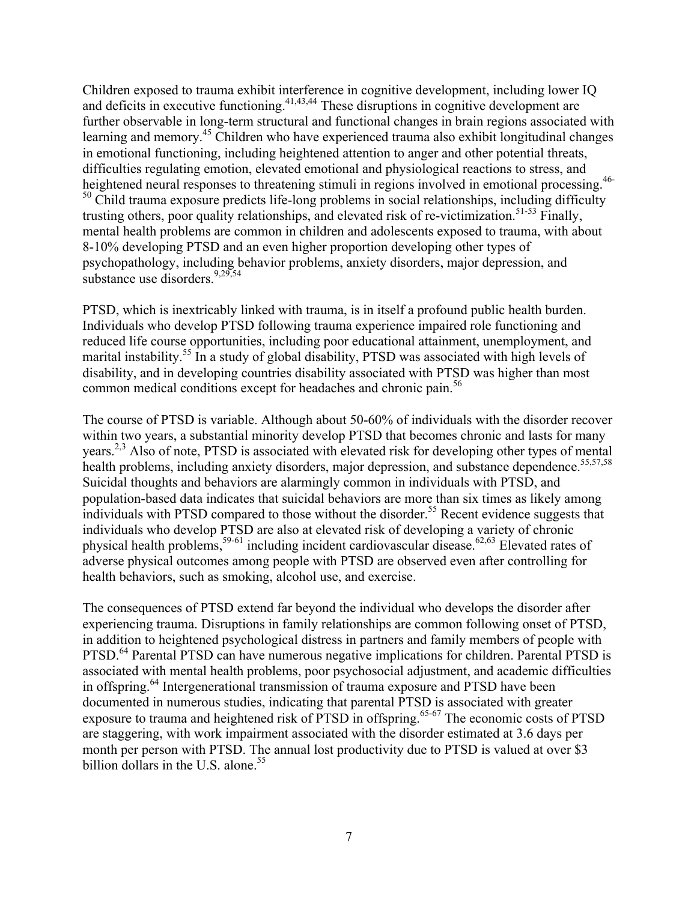Children exposed to trauma exhibit interference in cognitive development, including lower IQ and deficits in executive functioning.<sup>41,43,44</sup> These disruptions in cognitive development are further observable in long-term structural and functional changes in brain regions associated with learning and memory.<sup>45</sup> Children who have experienced trauma also exhibit longitudinal changes in emotional functioning, including heightened attention to anger and other potential threats, difficulties regulating emotion, elevated emotional and physiological reactions to stress, and heightened neural responses to threatening stimuli in regions involved in emotional processing.<sup>46-</sup> <sup>50</sup> Child trauma exposure predicts life-long problems in social relationships, including difficulty trusting others, poor quality relationships, and elevated risk of re-victimization. 51-53 Finally, mental health problems are common in children and adolescents exposed to trauma, with about 8-10% developing PTSD and an even higher proportion developing other types of psychopathology, including behavior problems, anxiety disorders, major depression, and substance use disorders.<sup>9,29,54</sup>

PTSD, which is inextricably linked with trauma, is in itself a profound public health burden. Individuals who develop PTSD following trauma experience impaired role functioning and reduced life course opportunities, including poor educational attainment, unemployment, and marital instability.<sup>55</sup> In a study of global disability, PTSD was associated with high levels of disability, and in developing countries disability associated with PTSD was higher than most common medical conditions except for headaches and chronic pain. 56

The course of PTSD is variable. Although about 50-60% of individuals with the disorder recover within two years, a substantial minority develop PTSD that becomes chronic and lasts for many years.<sup>2,3</sup> Also of note, PTSD is associated with elevated risk for developing other types of mental health problems, including anxiety disorders, major depression, and substance dependence.<sup>55,57,58</sup> Suicidal thoughts and behaviors are alarmingly common in individuals with PTSD, and population-based data indicates that suicidal behaviors are more than six times as likely among individuals with PTSD compared to those without the disorder.<sup>55</sup> Recent evidence suggests that individuals who develop PTSD are also at elevated risk of developing a variety of chronic physical health problems,<sup>59-61</sup> including incident cardiovascular disease.<sup>62,63</sup> Elevated rates of adverse physical outcomes among people with PTSD are observed even after controlling for health behaviors, such as smoking, alcohol use, and exercise.

The consequences of PTSD extend far beyond the individual who develops the disorder after experiencing trauma. Disruptions in family relationships are common following onset of PTSD, in addition to heightened psychological distress in partners and family members of people with PTSD.<sup>64</sup> Parental PTSD can have numerous negative implications for children. Parental PTSD is associated with mental health problems, poor psychosocial adjustment, and academic difficulties in offspring.<sup>64</sup> Intergenerational transmission of trauma exposure and PTSD have been documented in numerous studies, indicating that parental PTSD is associated with greater exposure to trauma and heightened risk of PTSD in offspring.<sup>65-67</sup> The economic costs of PTSD are staggering, with work impairment associated with the disorder estimated at 3.6 days per month per person with PTSD. The annual lost productivity due to PTSD is valued at over \$3 billion dollars in the U.S. alone. $55$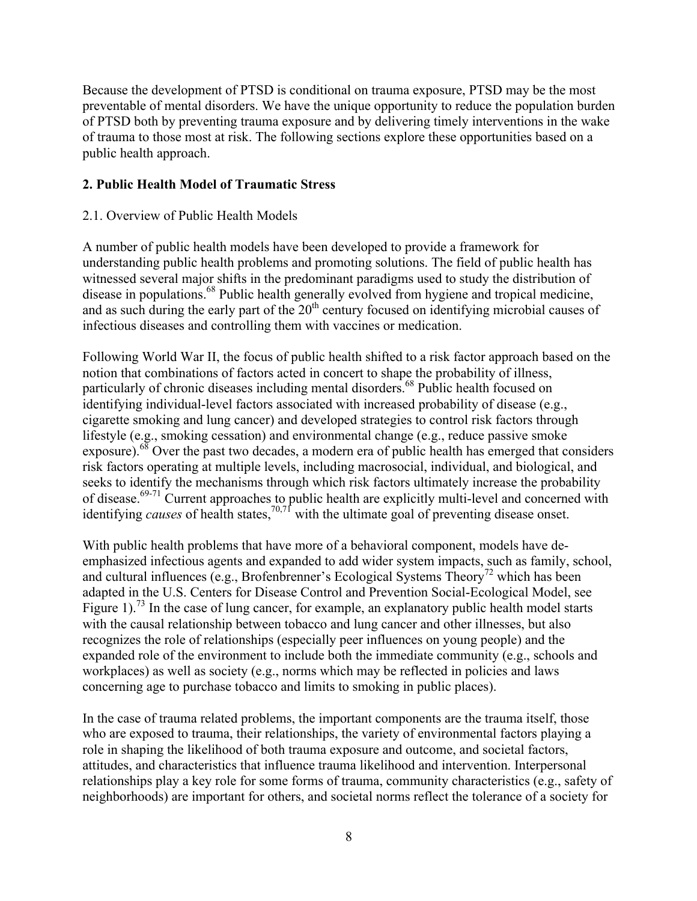Because the development of PTSD is conditional on trauma exposure, PTSD may be the most preventable of mental disorders. We have the unique opportunity to reduce the population burden of PTSD both by preventing trauma exposure and by delivering timely interventions in the wake of trauma to those most at risk. The following sections explore these opportunities based on a public health approach.

# **2. Public Health Model of Traumatic Stress**

# 2.1. Overview of Public Health Models

A number of public health models have been developed to provide a framework for understanding public health problems and promoting solutions. The field of public health has witnessed several major shifts in the predominant paradigms used to study the distribution of disease in populations.<sup>68</sup> Public health generally evolved from hygiene and tropical medicine, and as such during the early part of the  $20<sup>th</sup>$  century focused on identifying microbial causes of infectious diseases and controlling them with vaccines or medication.

Following World War II, the focus of public health shifted to a risk factor approach based on the notion that combinations of factors acted in concert to shape the probability of illness, particularly of chronic diseases including mental disorders.<sup>68</sup> Public health focused on identifying individual-level factors associated with increased probability of disease (e.g., cigarette smoking and lung cancer) and developed strategies to control risk factors through lifestyle (e.g., smoking cessation) and environmental change (e.g., reduce passive smoke exposure). $68$  Over the past two decades, a modern era of public health has emerged that considers risk factors operating at multiple levels, including macrosocial, individual, and biological, and seeks to identify the mechanisms through which risk factors ultimately increase the probability of disease.<sup>69-71</sup> Current approaches to public health are explicitly multi-level and concerned with identifying *causes* of health states, 70,71 with the ultimate goal of preventing disease onset.

With public health problems that have more of a behavioral component, models have deemphasized infectious agents and expanded to add wider system impacts, such as family, school, and cultural influences (e.g., Brofenbrenner's Ecological Systems Theory<sup>72</sup> which has been adapted in the U.S. Centers for Disease Control and Prevention Social-Ecological Model, see Figure 1).<sup>73</sup> In the case of lung cancer, for example, an explanatory public health model starts with the causal relationship between tobacco and lung cancer and other illnesses, but also recognizes the role of relationships (especially peer influences on young people) and the expanded role of the environment to include both the immediate community (e.g., schools and workplaces) as well as society (e.g., norms which may be reflected in policies and laws concerning age to purchase tobacco and limits to smoking in public places).

In the case of trauma related problems, the important components are the trauma itself, those who are exposed to trauma, their relationships, the variety of environmental factors playing a role in shaping the likelihood of both trauma exposure and outcome, and societal factors, attitudes, and characteristics that influence trauma likelihood and intervention. Interpersonal relationships play a key role for some forms of trauma, community characteristics (e.g., safety of neighborhoods) are important for others, and societal norms reflect the tolerance of a society for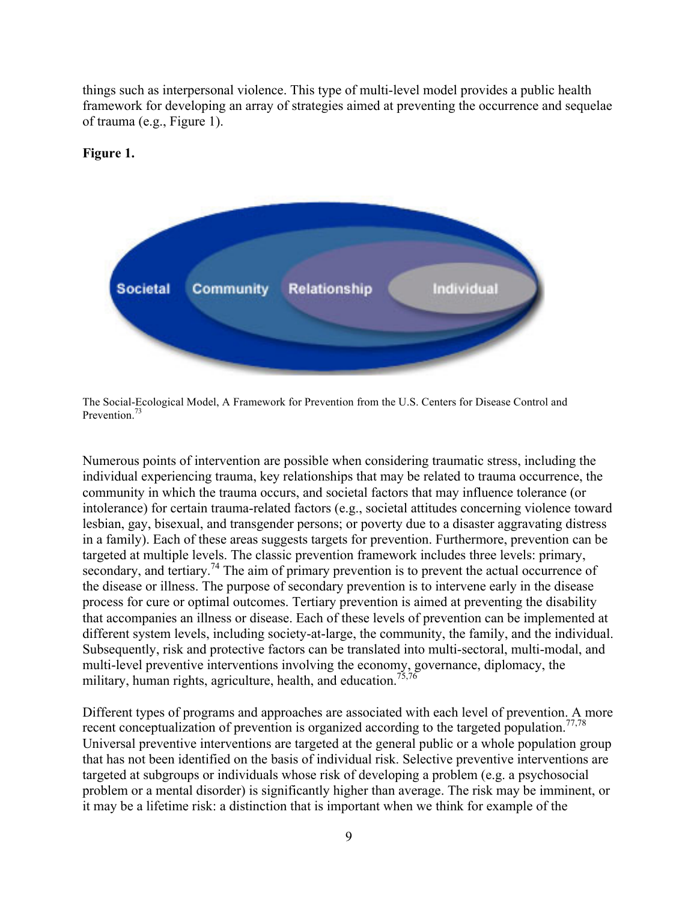things such as interpersonal violence. This type of multi-level model provides a public health framework for developing an array of strategies aimed at preventing the occurrence and sequelae of trauma (e.g., Figure 1).



#### **Figure 1.**

The Social-Ecological Model, A Framework for Prevention from the U.S. Centers for Disease Control and Prevention.<sup>73</sup>

Numerous points of intervention are possible when considering traumatic stress, including the individual experiencing trauma, key relationships that may be related to trauma occurrence, the community in which the trauma occurs, and societal factors that may influence tolerance (or intolerance) for certain trauma-related factors (e.g., societal attitudes concerning violence toward lesbian, gay, bisexual, and transgender persons; or poverty due to a disaster aggravating distress in a family). Each of these areas suggests targets for prevention. Furthermore, prevention can be targeted at multiple levels. The classic prevention framework includes three levels: primary, secondary, and tertiary.<sup>74</sup> The aim of primary prevention is to prevent the actual occurrence of the disease or illness. The purpose of secondary prevention is to intervene early in the disease process for cure or optimal outcomes. Tertiary prevention is aimed at preventing the disability that accompanies an illness or disease. Each of these levels of prevention can be implemented at different system levels, including society-at-large, the community, the family, and the individual. Subsequently, risk and protective factors can be translated into multi-sectoral, multi-modal, and multi-level preventive interventions involving the economy, governance, diplomacy, the military, human rights, agriculture, health, and education.<sup>75,76</sup>

Different types of programs and approaches are associated with each level of prevention. A more recent conceptualization of prevention is organized according to the targeted population.<sup>77,78</sup> Universal preventive interventions are targeted at the general public or a whole population group that has not been identified on the basis of individual risk. Selective preventive interventions are targeted at subgroups or individuals whose risk of developing a problem (e.g. a psychosocial problem or a mental disorder) is significantly higher than average. The risk may be imminent, or it may be a lifetime risk: a distinction that is important when we think for example of the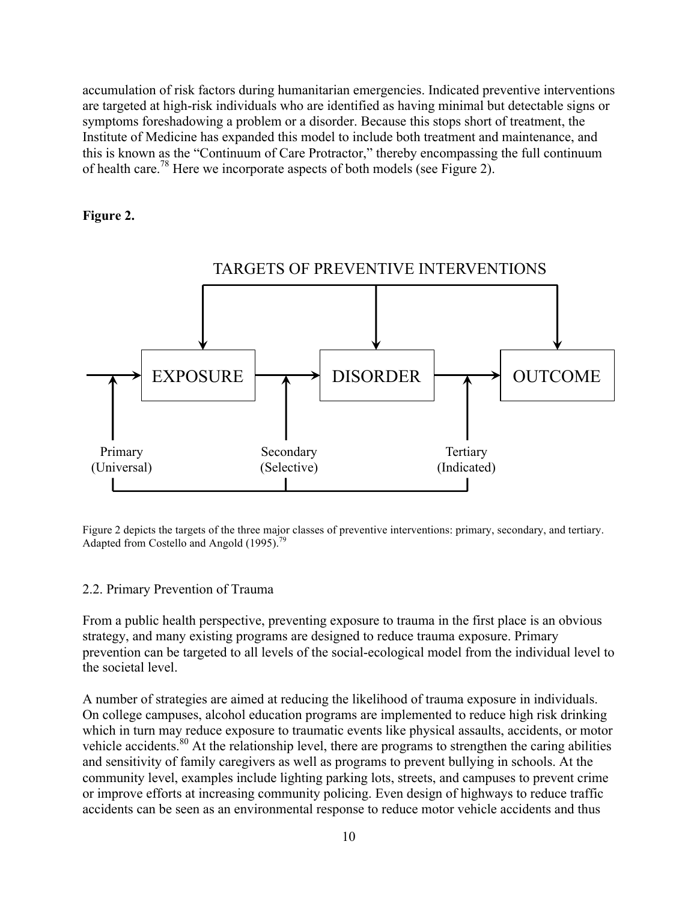accumulation of risk factors during humanitarian emergencies. Indicated preventive interventions are targeted at high-risk individuals who are identified as having minimal but detectable signs or symptoms foreshadowing a problem or a disorder. Because this stops short of treatment, the Institute of Medicine has expanded this model to include both treatment and maintenance, and this is known as the "Continuum of Care Protractor," thereby encompassing the full continuum of health care.78 Here we incorporate aspects of both models (see Figure 2).

### **Figure 2.**



Figure 2 depicts the targets of the three major classes of preventive interventions: primary, secondary, and tertiary. Adapted from Costello and Angold (1995).<sup>79</sup>

#### 2.2. Primary Prevention of Trauma

From a public health perspective, preventing exposure to trauma in the first place is an obvious strategy, and many existing programs are designed to reduce trauma exposure. Primary prevention can be targeted to all levels of the social-ecological model from the individual level to the societal level.

A number of strategies are aimed at reducing the likelihood of trauma exposure in individuals. On college campuses, alcohol education programs are implemented to reduce high risk drinking which in turn may reduce exposure to traumatic events like physical assaults, accidents, or motor vehicle accidents.<sup>80</sup> At the relationship level, there are programs to strengthen the caring abilities and sensitivity of family caregivers as well as programs to prevent bullying in schools. At the community level, examples include lighting parking lots, streets, and campuses to prevent crime or improve efforts at increasing community policing. Even design of highways to reduce traffic accidents can be seen as an environmental response to reduce motor vehicle accidents and thus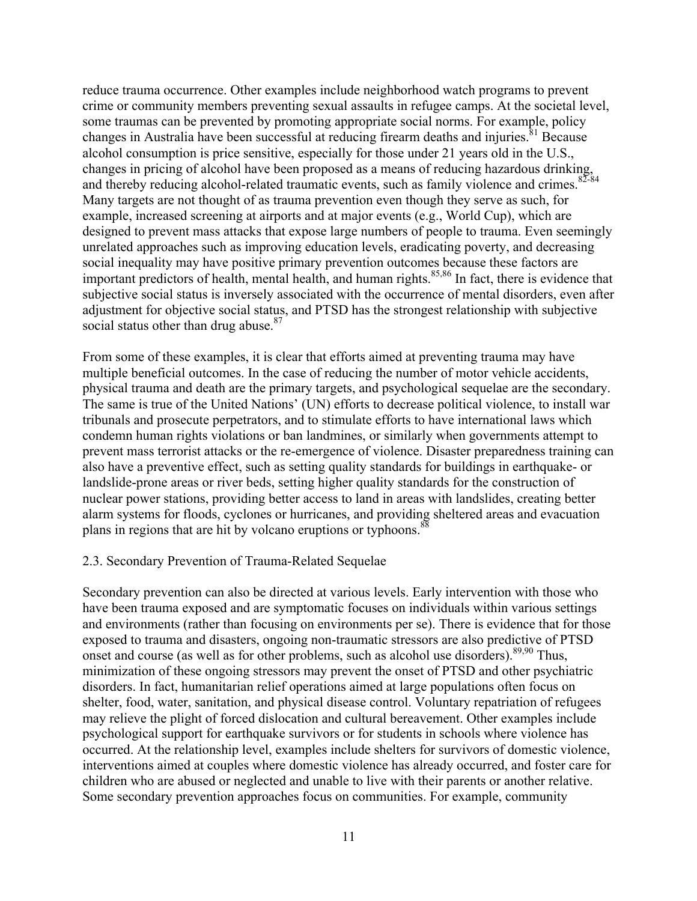reduce trauma occurrence. Other examples include neighborhood watch programs to prevent crime or community members preventing sexual assaults in refugee camps. At the societal level, some traumas can be prevented by promoting appropriate social norms. For example, policy changes in Australia have been successful at reducing firearm deaths and injuries.<sup>81</sup> Because alcohol consumption is price sensitive, especially for those under 21 years old in the U.S., changes in pricing of alcohol have been proposed as a means of reducing hazardous drinking, and thereby reducing alcohol-related traumatic events, such as family violence and crimes.<sup>82-84</sup> Many targets are not thought of as trauma prevention even though they serve as such, for example, increased screening at airports and at major events (e.g., World Cup), which are designed to prevent mass attacks that expose large numbers of people to trauma. Even seemingly unrelated approaches such as improving education levels, eradicating poverty, and decreasing social inequality may have positive primary prevention outcomes because these factors are important predictors of health, mental health, and human rights.85,86 In fact, there is evidence that subjective social status is inversely associated with the occurrence of mental disorders, even after adjustment for objective social status, and PTSD has the strongest relationship with subjective social status other than drug abuse.<sup>87</sup>

From some of these examples, it is clear that efforts aimed at preventing trauma may have multiple beneficial outcomes. In the case of reducing the number of motor vehicle accidents, physical trauma and death are the primary targets, and psychological sequelae are the secondary. The same is true of the United Nations' (UN) efforts to decrease political violence, to install war tribunals and prosecute perpetrators, and to stimulate efforts to have international laws which condemn human rights violations or ban landmines, or similarly when governments attempt to prevent mass terrorist attacks or the re-emergence of violence. Disaster preparedness training can also have a preventive effect, such as setting quality standards for buildings in earthquake- or landslide-prone areas or river beds, setting higher quality standards for the construction of nuclear power stations, providing better access to land in areas with landslides, creating better alarm systems for floods, cyclones or hurricanes, and providing sheltered areas and evacuation plans in regions that are hit by volcano eruptions or typhoons.<sup>88</sup>

#### 2.3. Secondary Prevention of Trauma-Related Sequelae

Secondary prevention can also be directed at various levels. Early intervention with those who have been trauma exposed and are symptomatic focuses on individuals within various settings and environments (rather than focusing on environments per se). There is evidence that for those exposed to trauma and disasters, ongoing non-traumatic stressors are also predictive of PTSD onset and course (as well as for other problems, such as alcohol use disorders).<sup>89,90</sup> Thus, minimization of these ongoing stressors may prevent the onset of PTSD and other psychiatric disorders. In fact, humanitarian relief operations aimed at large populations often focus on shelter, food, water, sanitation, and physical disease control. Voluntary repatriation of refugees may relieve the plight of forced dislocation and cultural bereavement. Other examples include psychological support for earthquake survivors or for students in schools where violence has occurred. At the relationship level, examples include shelters for survivors of domestic violence, interventions aimed at couples where domestic violence has already occurred, and foster care for children who are abused or neglected and unable to live with their parents or another relative. Some secondary prevention approaches focus on communities. For example, community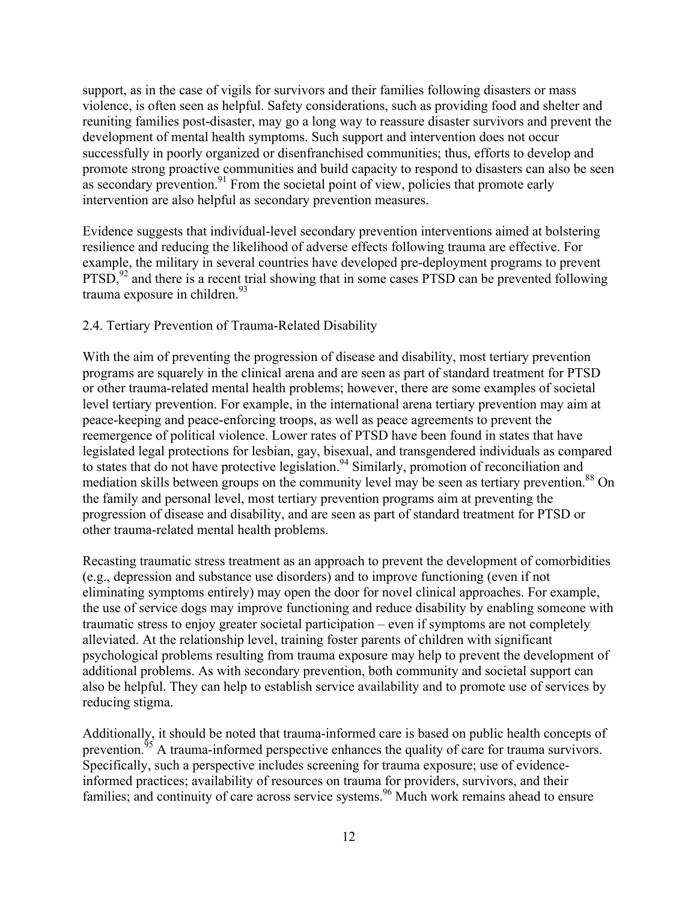support, as in the case of vigils for survivors and their families following disasters or mass violence, is often seen as helpful. Safety considerations, such as providing food and shelter and reuniting families post-disaster, may go a long way to reassure disaster survivors and prevent the development of mental health symptoms. Such support and intervention does not occur successfully in poorly organized or disenfranchised communities; thus, efforts to develop and promote strong proactive communities and build capacity to respond to disasters can also be seen as secondary prevention.<sup>91</sup> From the societal point of view, policies that promote early intervention are also helpful as secondary prevention measures.

Evidence suggests that individual-level secondary prevention interventions aimed at bolstering resilience and reducing the likelihood of adverse effects following trauma are effective. For example, the military in several countries have developed pre-deployment programs to prevent  $PTSD$ ,  $92$  and there is a recent trial showing that in some cases PTSD can be prevented following trauma exposure in children. $93$ 

### 2.4. Tertiary Prevention of Trauma-Related Disability

With the aim of preventing the progression of disease and disability, most tertiary prevention programs are squarely in the clinical arena and are seen as part of standard treatment for PTSD or other trauma-related mental health problems; however, there are some examples of societal level tertiary prevention. For example, in the international arena tertiary prevention may aim at peace-keeping and peace-enforcing troops, as well as peace agreements to prevent the reemergence of political violence. Lower rates of PTSD have been found in states that have legislated legal protections for lesbian, gay, bisexual, and transgendered individuals as compared to states that do not have protective legislation.<sup>94</sup> Similarly, promotion of reconciliation and mediation skills between groups on the community level may be seen as tertiary prevention.<sup>88</sup> On the family and personal level, most tertiary prevention programs aim at preventing the progression of disease and disability, and are seen as part of standard treatment for PTSD or other trauma-related mental health problems.

Recasting traumatic stress treatment as an approach to prevent the development of comorbidities (e.g., depression and substance use disorders) and to improve functioning (even if not eliminating symptoms entirely) may open the door for novel clinical approaches. For example, the use of service dogs may improve functioning and reduce disability by enabling someone with traumatic stress to enjoy greater societal participation – even if symptoms are not completely alleviated. At the relationship level, training foster parents of children with significant psychological problems resulting from trauma exposure may help to prevent the development of additional problems. As with secondary prevention, both community and societal support can also be helpful. They can help to establish service availability and to promote use of services by reducing stigma.

Additionally, it should be noted that trauma-informed care is based on public health concepts of prevention.<sup>55</sup> A trauma-informed perspective enhances the quality of care for trauma survivors. Specifically, such a perspective includes screening for trauma exposure; use of evidenceinformed practices; availability of resources on trauma for providers, survivors, and their families; and continuity of care across service systems.<sup>96</sup> Much work remains ahead to ensure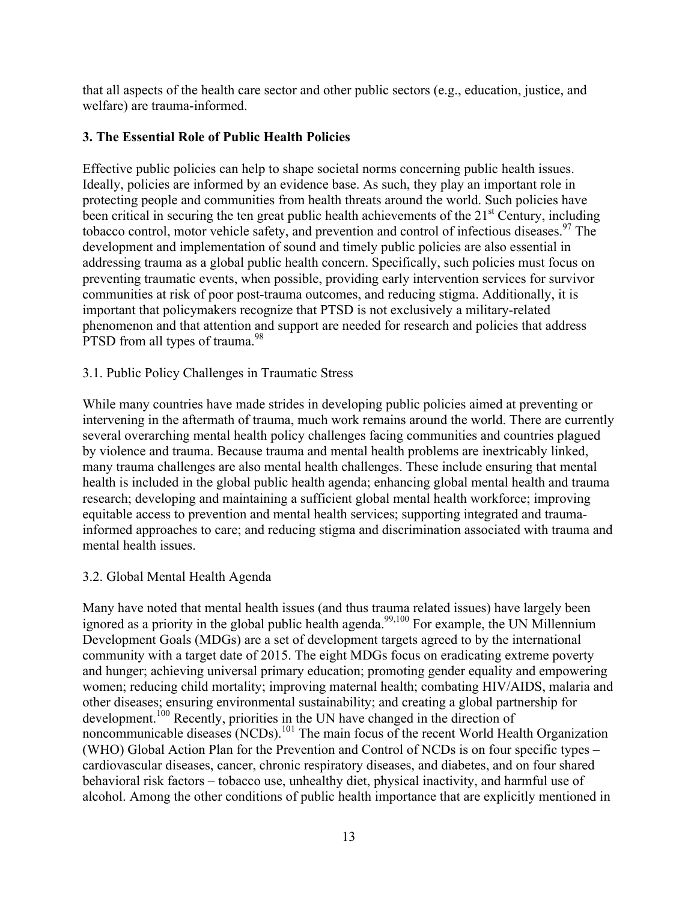that all aspects of the health care sector and other public sectors (e.g., education, justice, and welfare) are trauma-informed.

# **3. The Essential Role of Public Health Policies**

Effective public policies can help to shape societal norms concerning public health issues. Ideally, policies are informed by an evidence base. As such, they play an important role in protecting people and communities from health threats around the world. Such policies have been critical in securing the ten great public health achievements of the  $21<sup>st</sup>$  Century, including tobacco control, motor vehicle safety, and prevention and control of infectious diseases. <sup>97</sup> The development and implementation of sound and timely public policies are also essential in addressing trauma as a global public health concern. Specifically, such policies must focus on preventing traumatic events, when possible, providing early intervention services for survivor communities at risk of poor post-trauma outcomes, and reducing stigma. Additionally, it is important that policymakers recognize that PTSD is not exclusively a military-related phenomenon and that attention and support are needed for research and policies that address PTSD from all types of trauma.<sup>98</sup>

# 3.1. Public Policy Challenges in Traumatic Stress

While many countries have made strides in developing public policies aimed at preventing or intervening in the aftermath of trauma, much work remains around the world. There are currently several overarching mental health policy challenges facing communities and countries plagued by violence and trauma. Because trauma and mental health problems are inextricably linked, many trauma challenges are also mental health challenges. These include ensuring that mental health is included in the global public health agenda; enhancing global mental health and trauma research; developing and maintaining a sufficient global mental health workforce; improving equitable access to prevention and mental health services; supporting integrated and traumainformed approaches to care; and reducing stigma and discrimination associated with trauma and mental health issues.

# 3.2. Global Mental Health Agenda

Many have noted that mental health issues (and thus trauma related issues) have largely been ignored as a priority in the global public health agenda.<sup>99,100</sup> For example, the UN Millennium Development Goals (MDGs) are a set of development targets agreed to by the international community with a target date of 2015. The eight MDGs focus on eradicating extreme poverty and hunger; achieving universal primary education; promoting gender equality and empowering women; reducing child mortality; improving maternal health; combating HIV/AIDS, malaria and other diseases; ensuring environmental sustainability; and creating a global partnership for development. <sup>100</sup> Recently, priorities in the UN have changed in the direction of noncommunicable diseases  $(NCDs)$ <sup>101</sup>. The main focus of the recent World Health Organization (WHO) Global Action Plan for the Prevention and Control of NCDs is on four specific types – cardiovascular diseases, cancer, chronic respiratory diseases, and diabetes, and on four shared behavioral risk factors – tobacco use, unhealthy diet, physical inactivity, and harmful use of alcohol. Among the other conditions of public health importance that are explicitly mentioned in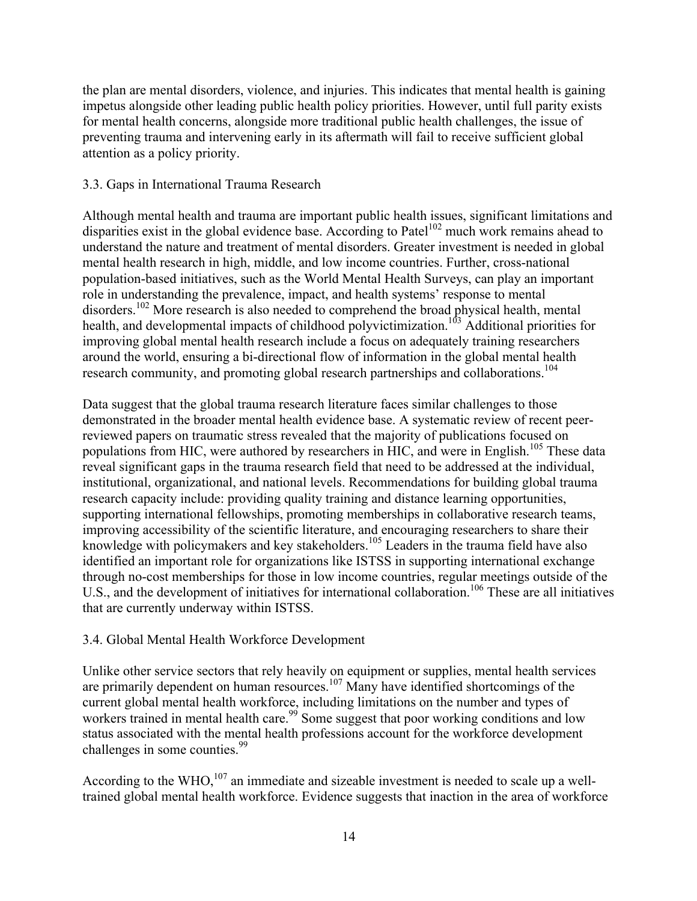the plan are mental disorders, violence, and injuries. This indicates that mental health is gaining impetus alongside other leading public health policy priorities. However, until full parity exists for mental health concerns, alongside more traditional public health challenges, the issue of preventing trauma and intervening early in its aftermath will fail to receive sufficient global attention as a policy priority.

### 3.3. Gaps in International Trauma Research

Although mental health and trauma are important public health issues, significant limitations and disparities exist in the global evidence base. According to Patel<sup>102</sup> much work remains ahead to understand the nature and treatment of mental disorders. Greater investment is needed in global mental health research in high, middle, and low income countries. Further, cross-national population-based initiatives, such as the World Mental Health Surveys, can play an important role in understanding the prevalence, impact, and health systems' response to mental disorders.<sup>102</sup> More research is also needed to comprehend the broad physical health, mental health, and developmental impacts of childhood polyvictimization.<sup>103</sup> Additional priorities for improving global mental health research include a focus on adequately training researchers around the world, ensuring a bi-directional flow of information in the global mental health research community, and promoting global research partnerships and collaborations.<sup>104</sup>

Data suggest that the global trauma research literature faces similar challenges to those demonstrated in the broader mental health evidence base. A systematic review of recent peerreviewed papers on traumatic stress revealed that the majority of publications focused on populations from HIC, were authored by researchers in HIC, and were in English.<sup>105</sup> These data reveal significant gaps in the trauma research field that need to be addressed at the individual, institutional, organizational, and national levels. Recommendations for building global trauma research capacity include: providing quality training and distance learning opportunities, supporting international fellowships, promoting memberships in collaborative research teams, improving accessibility of the scientific literature, and encouraging researchers to share their knowledge with policymakers and key stakeholders.<sup>105</sup> Leaders in the trauma field have also identified an important role for organizations like ISTSS in supporting international exchange through no-cost memberships for those in low income countries, regular meetings outside of the U.S., and the development of initiatives for international collaboration.<sup>106</sup> These are all initiatives that are currently underway within ISTSS.

# 3.4. Global Mental Health Workforce Development

Unlike other service sectors that rely heavily on equipment or supplies, mental health services are primarily dependent on human resources.<sup>107</sup> Many have identified shortcomings of the current global mental health workforce, including limitations on the number and types of workers trained in mental health care.<sup>99</sup> Some suggest that poor working conditions and low status associated with the mental health professions account for the workforce development challenges in some counties.<sup>99</sup>

According to the WHO,  $107$  an immediate and sizeable investment is needed to scale up a welltrained global mental health workforce. Evidence suggests that inaction in the area of workforce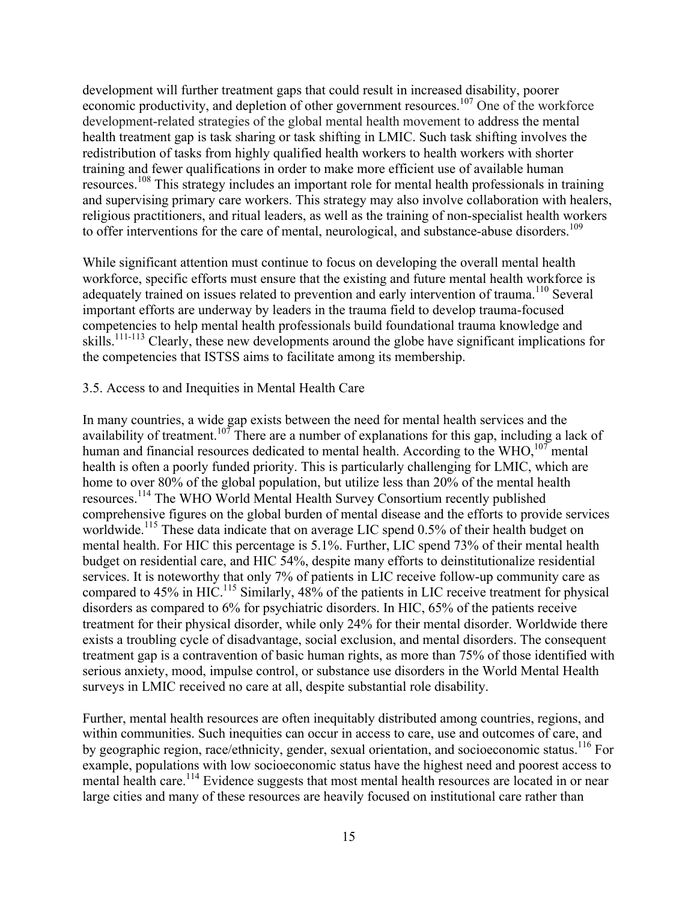development will further treatment gaps that could result in increased disability, poorer economic productivity, and depletion of other government resources.<sup>107</sup> One of the workforce development-related strategies of the global mental health movement to address the mental health treatment gap is task sharing or task shifting in LMIC. Such task shifting involves the redistribution of tasks from highly qualified health workers to health workers with shorter training and fewer qualifications in order to make more efficient use of available human resources.<sup>108</sup> This strategy includes an important role for mental health professionals in training and supervising primary care workers. This strategy may also involve collaboration with healers, religious practitioners, and ritual leaders, as well as the training of non-specialist health workers to offer interventions for the care of mental, neurological, and substance-abuse disorders.<sup>109</sup>

While significant attention must continue to focus on developing the overall mental health workforce, specific efforts must ensure that the existing and future mental health workforce is adequately trained on issues related to prevention and early intervention of trauma.<sup>110</sup> Several important efforts are underway by leaders in the trauma field to develop trauma-focused competencies to help mental health professionals build foundational trauma knowledge and skills.<sup>111-113</sup> Clearly, these new developments around the globe have significant implications for the competencies that ISTSS aims to facilitate among its membership.

### 3.5. Access to and Inequities in Mental Health Care

In many countries, a wide gap exists between the need for mental health services and the availability of treatment.<sup>107</sup> There are a number of explanations for this gap, including a lack of human and financial resources dedicated to mental health. According to the WHO,  $107$  mental health is often a poorly funded priority. This is particularly challenging for LMIC, which are home to over 80% of the global population, but utilize less than 20% of the mental health resources.<sup>114</sup> The WHO World Mental Health Survey Consortium recently published comprehensive figures on the global burden of mental disease and the efforts to provide services worldwide.<sup>115</sup> These data indicate that on average LIC spend 0.5% of their health budget on mental health. For HIC this percentage is 5.1%. Further, LIC spend 73% of their mental health budget on residential care, and HIC 54%, despite many efforts to deinstitutionalize residential services. It is noteworthy that only 7% of patients in LIC receive follow-up community care as compared to 45% in HIC.<sup>115</sup> Similarly, 48% of the patients in LIC receive treatment for physical disorders as compared to 6% for psychiatric disorders. In HIC, 65% of the patients receive treatment for their physical disorder, while only 24% for their mental disorder. Worldwide there exists a troubling cycle of disadvantage, social exclusion, and mental disorders. The consequent treatment gap is a contravention of basic human rights, as more than 75% of those identified with serious anxiety, mood, impulse control, or substance use disorders in the World Mental Health surveys in LMIC received no care at all, despite substantial role disability.

Further, mental health resources are often inequitably distributed among countries, regions, and within communities. Such inequities can occur in access to care, use and outcomes of care, and by geographic region, race/ethnicity, gender, sexual orientation, and socioeconomic status.<sup>116</sup> For example, populations with low socioeconomic status have the highest need and poorest access to mental health care.<sup>114</sup> Evidence suggests that most mental health resources are located in or near large cities and many of these resources are heavily focused on institutional care rather than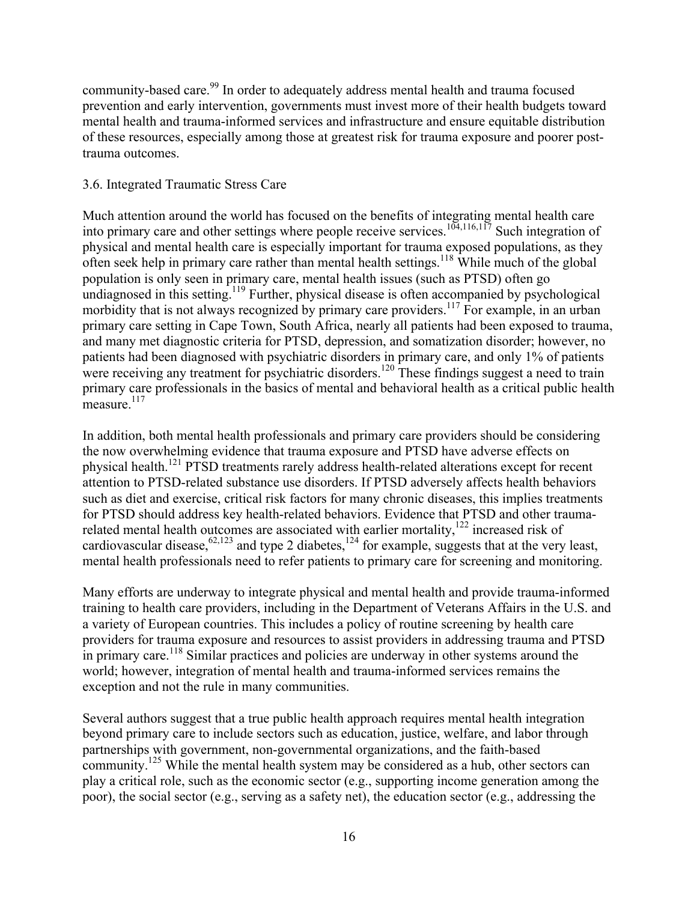community-based care.<sup>99</sup> In order to adequately address mental health and trauma focused prevention and early intervention, governments must invest more of their health budgets toward mental health and trauma-informed services and infrastructure and ensure equitable distribution of these resources, especially among those at greatest risk for trauma exposure and poorer posttrauma outcomes.

### 3.6. Integrated Traumatic Stress Care

Much attention around the world has focused on the benefits of integrating mental health care into primary care and other settings where people receive services.<sup>104,116,117</sup> Such integration of physical and mental health care is especially important for trauma exposed populations, as they often seek help in primary care rather than mental health settings.<sup>118</sup> While much of the global population is only seen in primary care, mental health issues (such as PTSD) often go undiagnosed in this setting.<sup>119</sup> Further, physical disease is often accompanied by psychological morbidity that is not always recognized by primary care providers.<sup>117</sup> For example, in an urban primary care setting in Cape Town, South Africa, nearly all patients had been exposed to trauma, and many met diagnostic criteria for PTSD, depression, and somatization disorder; however, no patients had been diagnosed with psychiatric disorders in primary care, and only 1% of patients were receiving any treatment for psychiatric disorders.<sup>120</sup> These findings suggest a need to train primary care professionals in the basics of mental and behavioral health as a critical public health measure.<sup>117</sup>

In addition, both mental health professionals and primary care providers should be considering the now overwhelming evidence that trauma exposure and PTSD have adverse effects on physical health.<sup>121</sup> PTSD treatments rarely address health-related alterations except for recent attention to PTSD-related substance use disorders. If PTSD adversely affects health behaviors such as diet and exercise, critical risk factors for many chronic diseases, this implies treatments for PTSD should address key health-related behaviors. Evidence that PTSD and other traumarelated mental health outcomes are associated with earlier mortality,<sup>122</sup> increased risk of cardiovascular disease,  $62,123$  and type 2 diabetes,  $124$  for example, suggests that at the very least, mental health professionals need to refer patients to primary care for screening and monitoring.

Many efforts are underway to integrate physical and mental health and provide trauma-informed training to health care providers, including in the Department of Veterans Affairs in the U.S. and a variety of European countries. This includes a policy of routine screening by health care providers for trauma exposure and resources to assist providers in addressing trauma and PTSD in primary care.<sup>118</sup> Similar practices and policies are underway in other systems around the world; however, integration of mental health and trauma-informed services remains the exception and not the rule in many communities.

Several authors suggest that a true public health approach requires mental health integration beyond primary care to include sectors such as education, justice, welfare, and labor through partnerships with government, non-governmental organizations, and the faith-based community.<sup>125</sup> While the mental health system may be considered as a hub, other sectors can play a critical role, such as the economic sector (e.g., supporting income generation among the poor), the social sector (e.g., serving as a safety net), the education sector (e.g., addressing the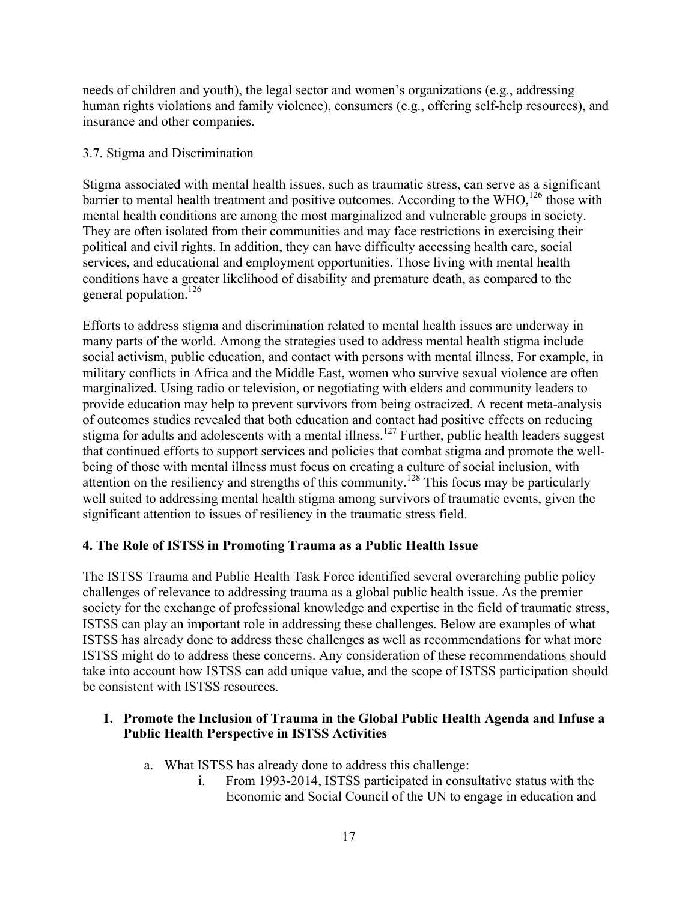needs of children and youth), the legal sector and women's organizations (e.g., addressing human rights violations and family violence), consumers (e.g., offering self-help resources), and insurance and other companies.

### 3.7. Stigma and Discrimination

Stigma associated with mental health issues, such as traumatic stress, can serve as a significant barrier to mental health treatment and positive outcomes. According to the WHO,<sup>126</sup> those with mental health conditions are among the most marginalized and vulnerable groups in society. They are often isolated from their communities and may face restrictions in exercising their political and civil rights. In addition, they can have difficulty accessing health care, social services, and educational and employment opportunities. Those living with mental health conditions have a greater likelihood of disability and premature death, as compared to the general population.<sup>126</sup>

Efforts to address stigma and discrimination related to mental health issues are underway in many parts of the world. Among the strategies used to address mental health stigma include social activism, public education, and contact with persons with mental illness. For example, in military conflicts in Africa and the Middle East, women who survive sexual violence are often marginalized. Using radio or television, or negotiating with elders and community leaders to provide education may help to prevent survivors from being ostracized. A recent meta-analysis of outcomes studies revealed that both education and contact had positive effects on reducing stigma for adults and adolescents with a mental illness.<sup>127</sup> Further, public health leaders suggest that continued efforts to support services and policies that combat stigma and promote the wellbeing of those with mental illness must focus on creating a culture of social inclusion, with attention on the resiliency and strengths of this community.<sup>128</sup> This focus may be particularly well suited to addressing mental health stigma among survivors of traumatic events, given the significant attention to issues of resiliency in the traumatic stress field.

# **4. The Role of ISTSS in Promoting Trauma as a Public Health Issue**

The ISTSS Trauma and Public Health Task Force identified several overarching public policy challenges of relevance to addressing trauma as a global public health issue. As the premier society for the exchange of professional knowledge and expertise in the field of traumatic stress, ISTSS can play an important role in addressing these challenges. Below are examples of what ISTSS has already done to address these challenges as well as recommendations for what more ISTSS might do to address these concerns. Any consideration of these recommendations should take into account how ISTSS can add unique value, and the scope of ISTSS participation should be consistent with ISTSS resources.

### **1. Promote the Inclusion of Trauma in the Global Public Health Agenda and Infuse a Public Health Perspective in ISTSS Activities**

- a. What ISTSS has already done to address this challenge:
	- i. From 1993-2014, ISTSS participated in consultative status with the Economic and Social Council of the UN to engage in education and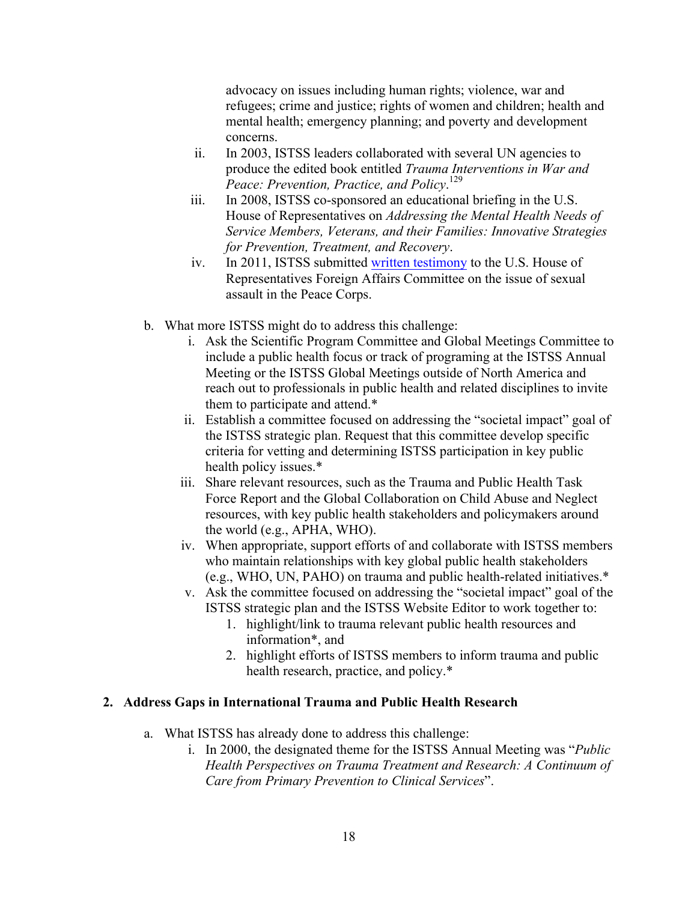advocacy on issues including human rights; violence, war and refugees; crime and justice; rights of women and children; health and mental health; emergency planning; and poverty and development concerns.

- ii. In 2003, ISTSS leaders collaborated with several UN agencies to produce the edited book entitled *Trauma Interventions in War and Peace: Prevention, Practice, and Policy*. 129
- iii. In 2008, ISTSS co-sponsored an educational briefing in the U.S. House of Representatives on *Addressing the Mental Health Needs of Service Members, Veterans, and their Families: Innovative Strategies for Prevention, Treatment, and Recovery*.
- iv. In 2011, ISTSS submitted written testimony to the U.S. House of Representatives Foreign Affairs Committee on the issue of sexual assault in the Peace Corps.
- b. What more ISTSS might do to address this challenge:
	- i. Ask the Scientific Program Committee and Global Meetings Committee to include a public health focus or track of programing at the ISTSS Annual Meeting or the ISTSS Global Meetings outside of North America and reach out to professionals in public health and related disciplines to invite them to participate and attend.\*
	- ii. Establish a committee focused on addressing the "societal impact" goal of the ISTSS strategic plan. Request that this committee develop specific criteria for vetting and determining ISTSS participation in key public health policy issues.\*
	- iii. Share relevant resources, such as the Trauma and Public Health Task Force Report and the Global Collaboration on Child Abuse and Neglect resources, with key public health stakeholders and policymakers around the world (e.g., APHA, WHO).
	- iv. When appropriate, support efforts of and collaborate with ISTSS members who maintain relationships with key global public health stakeholders (e.g., WHO, UN, PAHO) on trauma and public health-related initiatives.\*
	- v. Ask the committee focused on addressing the "societal impact" goal of the ISTSS strategic plan and the ISTSS Website Editor to work together to:
		- 1. highlight/link to trauma relevant public health resources and information\*, and
		- 2. highlight efforts of ISTSS members to inform trauma and public health research, practice, and policy.\*

# **2. Address Gaps in International Trauma and Public Health Research**

- a. What ISTSS has already done to address this challenge:
	- i. In 2000, the designated theme for the ISTSS Annual Meeting was "*Public Health Perspectives on Trauma Treatment and Research: A Continuum of Care from Primary Prevention to Clinical Services*".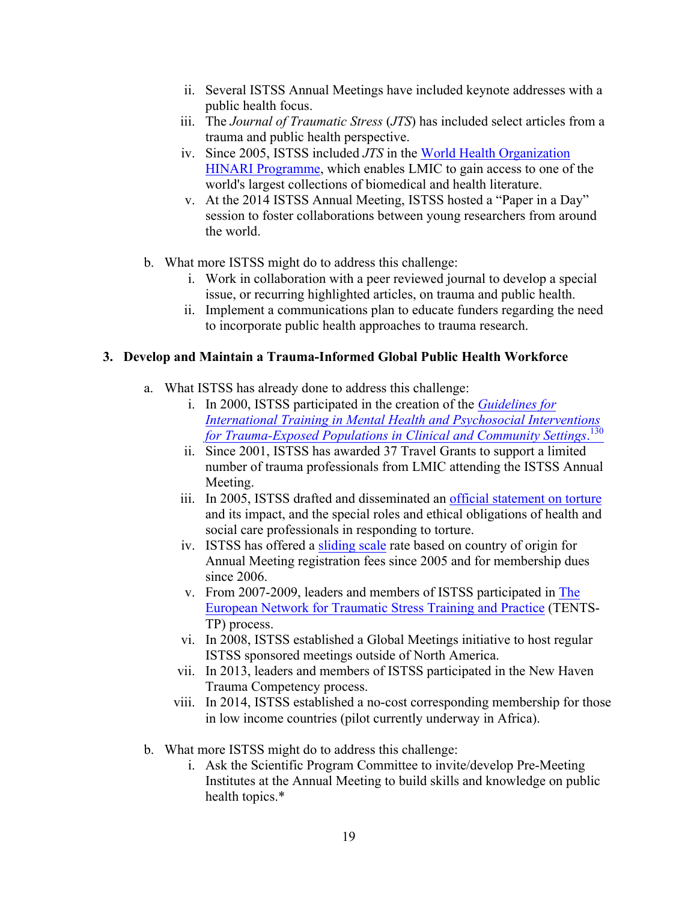- ii. Several ISTSS Annual Meetings have included keynote addresses with a public health focus.
- iii. The *Journal of Traumatic Stress* (*JTS*) has included select articles from a trauma and public health perspective.
- iv. Since 2005, ISTSS included *JTS* in the World Health Organization HINARI Programme, which enables LMIC to gain access to one of the world's largest collections of biomedical and health literature.
- v. At the 2014 ISTSS Annual Meeting, ISTSS hosted a "Paper in a Day" session to foster collaborations between young researchers from around the world.
- b. What more ISTSS might do to address this challenge:
	- i. Work in collaboration with a peer reviewed journal to develop a special issue, or recurring highlighted articles, on trauma and public health.
	- ii. Implement a communications plan to educate funders regarding the need to incorporate public health approaches to trauma research.

### **3. Develop and Maintain a Trauma-Informed Global Public Health Workforce**

- a. What ISTSS has already done to address this challenge:
	- i. In 2000, ISTSS participated in the creation of the *Guidelines for International Training in Mental Health and Psychosocial Interventions for Trauma-Exposed Populations in Clinical and Community Settings*. 130
	- ii. Since 2001, ISTSS has awarded 37 Travel Grants to support a limited number of trauma professionals from LMIC attending the ISTSS Annual Meeting.
	- iii. In 2005, ISTSS drafted and disseminated an official statement on torture and its impact, and the special roles and ethical obligations of health and social care professionals in responding to torture.
	- iv. ISTSS has offered a sliding scale rate based on country of origin for Annual Meeting registration fees since 2005 and for membership dues since 2006.
	- v. From 2007-2009, leaders and members of ISTSS participated in The European Network for Traumatic Stress Training and Practice (TENTS-TP) process.
	- vi. In 2008, ISTSS established a Global Meetings initiative to host regular ISTSS sponsored meetings outside of North America.
	- vii. In 2013, leaders and members of ISTSS participated in the New Haven Trauma Competency process.
	- viii. In 2014, ISTSS established a no-cost corresponding membership for those in low income countries (pilot currently underway in Africa).
- b. What more ISTSS might do to address this challenge:
	- i. Ask the Scientific Program Committee to invite/develop Pre-Meeting Institutes at the Annual Meeting to build skills and knowledge on public health topics.\*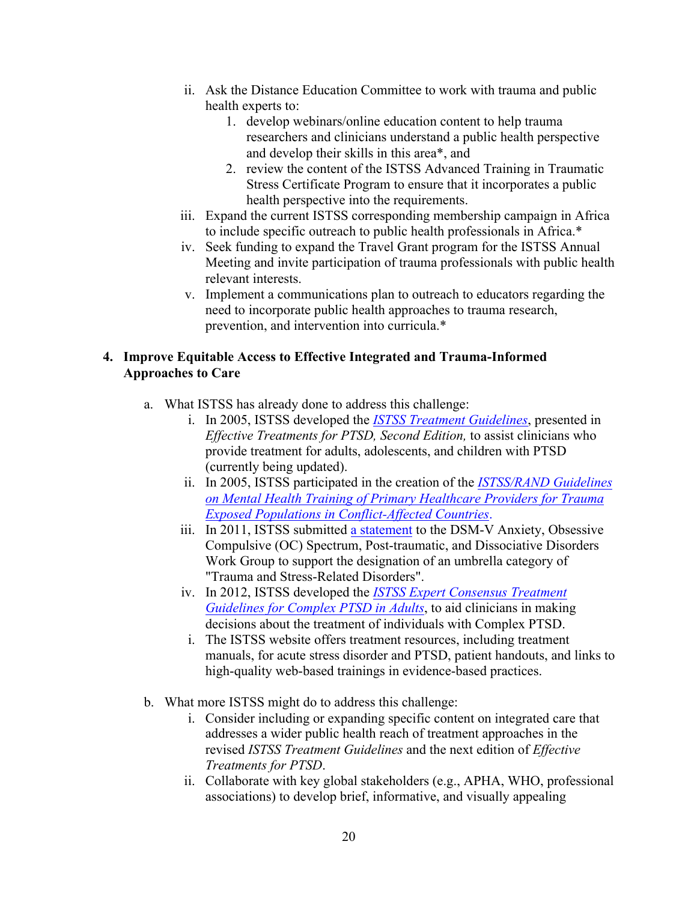- ii. Ask the Distance Education Committee to work with trauma and public health experts to:
	- 1. develop webinars/online education content to help trauma researchers and clinicians understand a public health perspective and develop their skills in this area\*, and
	- 2. review the content of the ISTSS Advanced Training in Traumatic Stress Certificate Program to ensure that it incorporates a public health perspective into the requirements.
- iii. Expand the current ISTSS corresponding membership campaign in Africa to include specific outreach to public health professionals in Africa.\*
- iv. Seek funding to expand the Travel Grant program for the ISTSS Annual Meeting and invite participation of trauma professionals with public health relevant interests.
- v. Implement a communications plan to outreach to educators regarding the need to incorporate public health approaches to trauma research, prevention, and intervention into curricula.\*

# **4. Improve Equitable Access to Effective Integrated and Trauma-Informed Approaches to Care**

- a. What ISTSS has already done to address this challenge:
	- i. In 2005, ISTSS developed the *ISTSS Treatment Guidelines*, presented in *Effective Treatments for PTSD, Second Edition,* to assist clinicians who provide treatment for adults, adolescents, and children with PTSD (currently being updated).
	- ii. In 2005, ISTSS participated in the creation of the *ISTSS/RAND Guidelines on Mental Health Training of Primary Healthcare Providers for Trauma Exposed Populations in Conflict-Affected Countries*.
	- iii. In 2011, ISTSS submitted a statement to the DSM-V Anxiety, Obsessive Compulsive (OC) Spectrum, Post-traumatic, and Dissociative Disorders Work Group to support the designation of an umbrella category of "Trauma and Stress-Related Disorders".
	- iv. In 2012, ISTSS developed the *ISTSS Expert Consensus Treatment Guidelines for Complex PTSD in Adults*, to aid clinicians in making decisions about the treatment of individuals with Complex PTSD.
	- i. The ISTSS website offers treatment resources, including treatment manuals, for acute stress disorder and PTSD, patient handouts, and links to high-quality web-based trainings in evidence-based practices.
- b. What more ISTSS might do to address this challenge:
	- i. Consider including or expanding specific content on integrated care that addresses a wider public health reach of treatment approaches in the revised *ISTSS Treatment Guidelines* and the next edition of *Effective Treatments for PTSD*.
	- ii. Collaborate with key global stakeholders (e.g., APHA, WHO, professional associations) to develop brief, informative, and visually appealing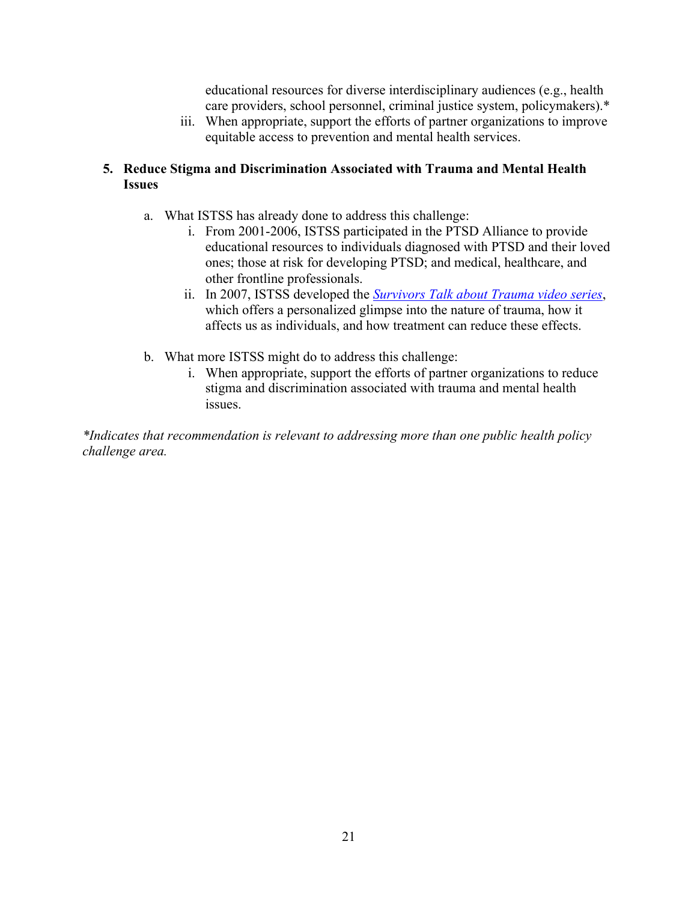educational resources for diverse interdisciplinary audiences (e.g., health care providers, school personnel, criminal justice system, policymakers).\*

iii. When appropriate, support the efforts of partner organizations to improve equitable access to prevention and mental health services.

# **5. Reduce Stigma and Discrimination Associated with Trauma and Mental Health Issues**

- a. What ISTSS has already done to address this challenge:
	- i. From 2001-2006, ISTSS participated in the PTSD Alliance to provide educational resources to individuals diagnosed with PTSD and their loved ones; those at risk for developing PTSD; and medical, healthcare, and other frontline professionals.
	- ii. In 2007, ISTSS developed the *Survivors Talk about Trauma video series*, which offers a personalized glimpse into the nature of trauma, how it affects us as individuals, and how treatment can reduce these effects.
- b. What more ISTSS might do to address this challenge:
	- i. When appropriate, support the efforts of partner organizations to reduce stigma and discrimination associated with trauma and mental health issues.

*\*Indicates that recommendation is relevant to addressing more than one public health policy challenge area.*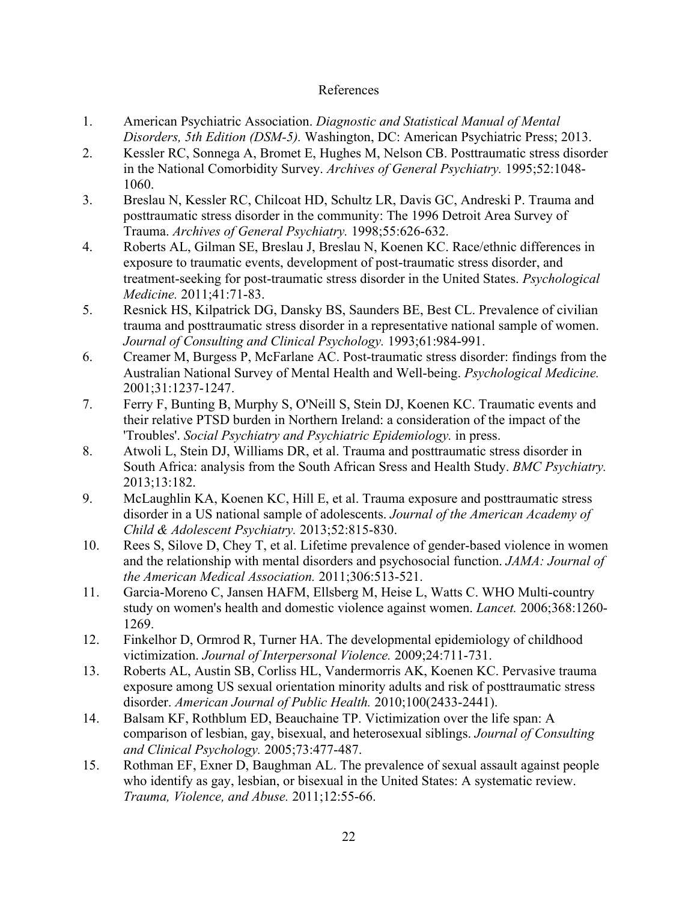### References

- 1. American Psychiatric Association. *Diagnostic and Statistical Manual of Mental Disorders, 5th Edition (DSM-5).* Washington, DC: American Psychiatric Press; 2013.
- 2. Kessler RC, Sonnega A, Bromet E, Hughes M, Nelson CB. Posttraumatic stress disorder in the National Comorbidity Survey. *Archives of General Psychiatry.* 1995;52:1048- 1060.
- 3. Breslau N, Kessler RC, Chilcoat HD, Schultz LR, Davis GC, Andreski P. Trauma and posttraumatic stress disorder in the community: The 1996 Detroit Area Survey of Trauma. *Archives of General Psychiatry.* 1998;55:626-632.
- 4. Roberts AL, Gilman SE, Breslau J, Breslau N, Koenen KC. Race/ethnic differences in exposure to traumatic events, development of post-traumatic stress disorder, and treatment-seeking for post-traumatic stress disorder in the United States. *Psychological Medicine.* 2011;41:71-83.
- 5. Resnick HS, Kilpatrick DG, Dansky BS, Saunders BE, Best CL. Prevalence of civilian trauma and posttraumatic stress disorder in a representative national sample of women. *Journal of Consulting and Clinical Psychology.* 1993;61:984-991.
- 6. Creamer M, Burgess P, McFarlane AC. Post-traumatic stress disorder: findings from the Australian National Survey of Mental Health and Well-being. *Psychological Medicine.* 2001;31:1237-1247.
- 7. Ferry F, Bunting B, Murphy S, O'Neill S, Stein DJ, Koenen KC. Traumatic events and their relative PTSD burden in Northern Ireland: a consideration of the impact of the 'Troubles'. *Social Psychiatry and Psychiatric Epidemiology.* in press.
- 8. Atwoli L, Stein DJ, Williams DR, et al. Trauma and posttraumatic stress disorder in South Africa: analysis from the South African Sress and Health Study. *BMC Psychiatry.* 2013;13:182.
- 9. McLaughlin KA, Koenen KC, Hill E, et al. Trauma exposure and posttraumatic stress disorder in a US national sample of adolescents. *Journal of the American Academy of Child & Adolescent Psychiatry.* 2013;52:815-830.
- 10. Rees S, Silove D, Chey T, et al. Lifetime prevalence of gender-based violence in women and the relationship with mental disorders and psychosocial function. *JAMA: Journal of the American Medical Association.* 2011;306:513-521.
- 11. Garcia-Moreno C, Jansen HAFM, Ellsberg M, Heise L, Watts C. WHO Multi-country study on women's health and domestic violence against women. *Lancet.* 2006;368:1260- 1269.
- 12. Finkelhor D, Ormrod R, Turner HA. The developmental epidemiology of childhood victimization. *Journal of Interpersonal Violence.* 2009;24:711-731.
- 13. Roberts AL, Austin SB, Corliss HL, Vandermorris AK, Koenen KC. Pervasive trauma exposure among US sexual orientation minority adults and risk of posttraumatic stress disorder. *American Journal of Public Health.* 2010;100(2433-2441).
- 14. Balsam KF, Rothblum ED, Beauchaine TP. Victimization over the life span: A comparison of lesbian, gay, bisexual, and heterosexual siblings. *Journal of Consulting and Clinical Psychology.* 2005;73:477-487.
- 15. Rothman EF, Exner D, Baughman AL. The prevalence of sexual assault against people who identify as gay, lesbian, or bisexual in the United States: A systematic review. *Trauma, Violence, and Abuse.* 2011;12:55-66.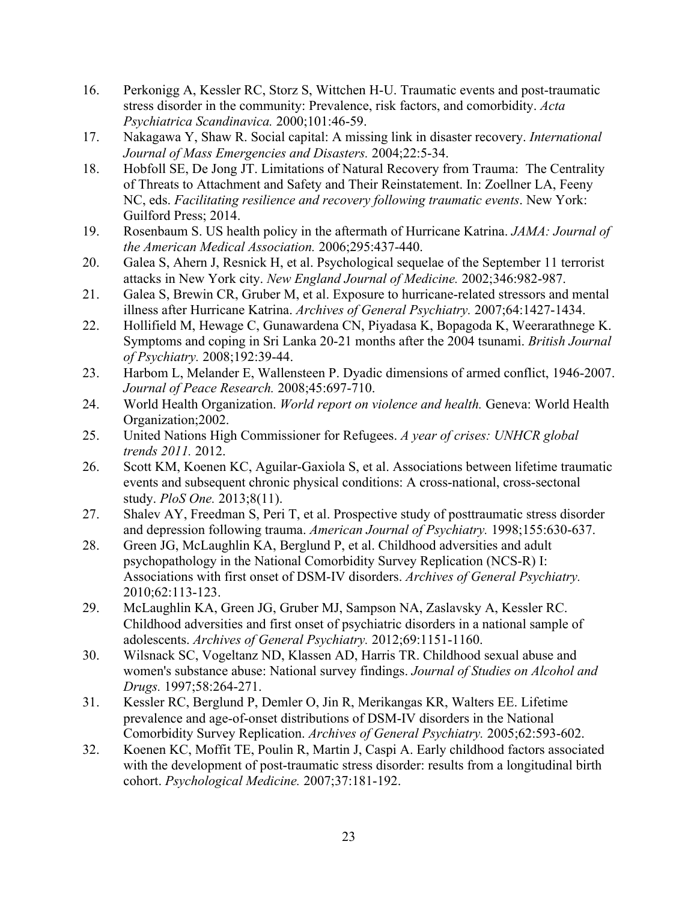- 16. Perkonigg A, Kessler RC, Storz S, Wittchen H-U. Traumatic events and post-traumatic stress disorder in the community: Prevalence, risk factors, and comorbidity. *Acta Psychiatrica Scandinavica.* 2000;101:46-59.
- 17. Nakagawa Y, Shaw R. Social capital: A missing link in disaster recovery. *International Journal of Mass Emergencies and Disasters.* 2004;22:5-34.
- 18. Hobfoll SE, De Jong JT. Limitations of Natural Recovery from Trauma: The Centrality of Threats to Attachment and Safety and Their Reinstatement. In: Zoellner LA, Feeny NC, eds. *Facilitating resilience and recovery following traumatic events*. New York: Guilford Press; 2014.
- 19. Rosenbaum S. US health policy in the aftermath of Hurricane Katrina. *JAMA: Journal of the American Medical Association.* 2006;295:437-440.
- 20. Galea S, Ahern J, Resnick H, et al. Psychological sequelae of the September 11 terrorist attacks in New York city. *New England Journal of Medicine.* 2002;346:982-987.
- 21. Galea S, Brewin CR, Gruber M, et al. Exposure to hurricane-related stressors and mental illness after Hurricane Katrina. *Archives of General Psychiatry.* 2007;64:1427-1434.
- 22. Hollifield M, Hewage C, Gunawardena CN, Piyadasa K, Bopagoda K, Weerarathnege K. Symptoms and coping in Sri Lanka 20-21 months after the 2004 tsunami. *British Journal of Psychiatry.* 2008;192:39-44.
- 23. Harbom L, Melander E, Wallensteen P. Dyadic dimensions of armed conflict, 1946-2007. *Journal of Peace Research.* 2008;45:697-710.
- 24. World Health Organization. *World report on violence and health.* Geneva: World Health Organization;2002.
- 25. United Nations High Commissioner for Refugees. *A year of crises: UNHCR global trends 2011.* 2012.
- 26. Scott KM, Koenen KC, Aguilar-Gaxiola S, et al. Associations between lifetime traumatic events and subsequent chronic physical conditions: A cross-national, cross-sectonal study. *PloS One.* 2013;8(11).
- 27. Shalev AY, Freedman S, Peri T, et al. Prospective study of posttraumatic stress disorder and depression following trauma. *American Journal of Psychiatry.* 1998;155:630-637.
- 28. Green JG, McLaughlin KA, Berglund P, et al. Childhood adversities and adult psychopathology in the National Comorbidity Survey Replication (NCS-R) I: Associations with first onset of DSM-IV disorders. *Archives of General Psychiatry.* 2010;62:113-123.
- 29. McLaughlin KA, Green JG, Gruber MJ, Sampson NA, Zaslavsky A, Kessler RC. Childhood adversities and first onset of psychiatric disorders in a national sample of adolescents. *Archives of General Psychiatry.* 2012;69:1151-1160.
- 30. Wilsnack SC, Vogeltanz ND, Klassen AD, Harris TR. Childhood sexual abuse and women's substance abuse: National survey findings. *Journal of Studies on Alcohol and Drugs.* 1997;58:264-271.
- 31. Kessler RC, Berglund P, Demler O, Jin R, Merikangas KR, Walters EE. Lifetime prevalence and age-of-onset distributions of DSM-IV disorders in the National Comorbidity Survey Replication. *Archives of General Psychiatry.* 2005;62:593-602.
- 32. Koenen KC, Moffit TE, Poulin R, Martin J, Caspi A. Early childhood factors associated with the development of post-traumatic stress disorder: results from a longitudinal birth cohort. *Psychological Medicine.* 2007;37:181-192.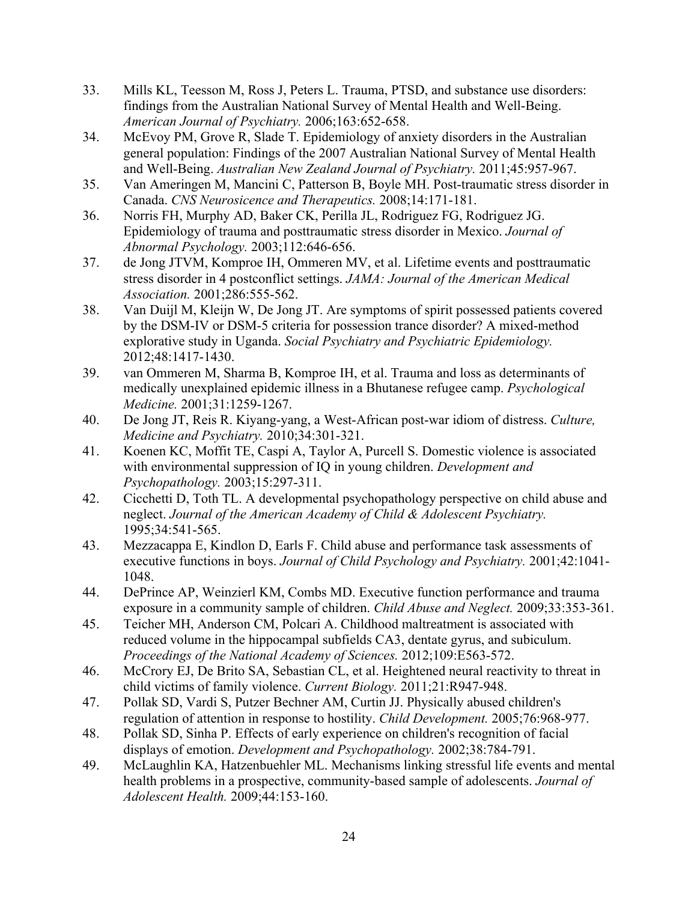- 33. Mills KL, Teesson M, Ross J, Peters L. Trauma, PTSD, and substance use disorders: findings from the Australian National Survey of Mental Health and Well-Being. *American Journal of Psychiatry.* 2006;163:652-658.
- 34. McEvoy PM, Grove R, Slade T. Epidemiology of anxiety disorders in the Australian general population: Findings of the 2007 Australian National Survey of Mental Health and Well-Being. *Australian New Zealand Journal of Psychiatry.* 2011;45:957-967.
- 35. Van Ameringen M, Mancini C, Patterson B, Boyle MH. Post-traumatic stress disorder in Canada. *CNS Neurosicence and Therapeutics.* 2008;14:171-181.
- 36. Norris FH, Murphy AD, Baker CK, Perilla JL, Rodriguez FG, Rodriguez JG. Epidemiology of trauma and posttraumatic stress disorder in Mexico. *Journal of Abnormal Psychology.* 2003;112:646-656.
- 37. de Jong JTVM, Komproe IH, Ommeren MV, et al. Lifetime events and posttraumatic stress disorder in 4 postconflict settings. *JAMA: Journal of the American Medical Association.* 2001;286:555-562.
- 38. Van Duijl M, Kleijn W, De Jong JT. Are symptoms of spirit possessed patients covered by the DSM-IV or DSM-5 criteria for possession trance disorder? A mixed-method explorative study in Uganda. *Social Psychiatry and Psychiatric Epidemiology.* 2012;48:1417-1430.
- 39. van Ommeren M, Sharma B, Komproe IH, et al. Trauma and loss as determinants of medically unexplained epidemic illness in a Bhutanese refugee camp. *Psychological Medicine.* 2001;31:1259-1267.
- 40. De Jong JT, Reis R. Kiyang-yang, a West-African post-war idiom of distress. *Culture, Medicine and Psychiatry.* 2010;34:301-321.
- 41. Koenen KC, Moffit TE, Caspi A, Taylor A, Purcell S. Domestic violence is associated with environmental suppression of IQ in young children. *Development and Psychopathology.* 2003;15:297-311.
- 42. Cicchetti D, Toth TL. A developmental psychopathology perspective on child abuse and neglect. *Journal of the American Academy of Child & Adolescent Psychiatry.* 1995;34:541-565.
- 43. Mezzacappa E, Kindlon D, Earls F. Child abuse and performance task assessments of executive functions in boys. *Journal of Child Psychology and Psychiatry.* 2001;42:1041- 1048.
- 44. DePrince AP, Weinzierl KM, Combs MD. Executive function performance and trauma exposure in a community sample of children. *Child Abuse and Neglect.* 2009;33:353-361.
- 45. Teicher MH, Anderson CM, Polcari A. Childhood maltreatment is associated with reduced volume in the hippocampal subfields CA3, dentate gyrus, and subiculum. *Proceedings of the National Academy of Sciences.* 2012;109:E563-572.
- 46. McCrory EJ, De Brito SA, Sebastian CL, et al. Heightened neural reactivity to threat in child victims of family violence. *Current Biology.* 2011;21:R947-948.
- 47. Pollak SD, Vardi S, Putzer Bechner AM, Curtin JJ. Physically abused children's regulation of attention in response to hostility. *Child Development.* 2005;76:968-977.
- 48. Pollak SD, Sinha P. Effects of early experience on children's recognition of facial displays of emotion. *Development and Psychopathology.* 2002;38:784-791.
- 49. McLaughlin KA, Hatzenbuehler ML. Mechanisms linking stressful life events and mental health problems in a prospective, community-based sample of adolescents. *Journal of Adolescent Health.* 2009;44:153-160.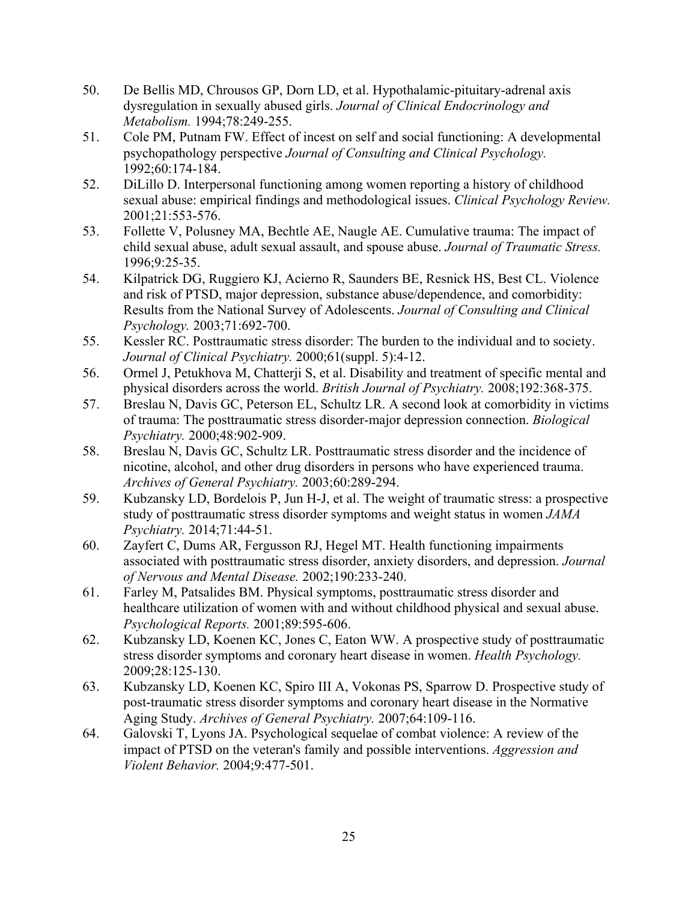- 50. De Bellis MD, Chrousos GP, Dorn LD, et al. Hypothalamic-pituitary-adrenal axis dysregulation in sexually abused girls. *Journal of Clinical Endocrinology and Metabolism.* 1994;78:249-255.
- 51. Cole PM, Putnam FW. Effect of incest on self and social functioning: A developmental psychopathology perspective *Journal of Consulting and Clinical Psychology.* 1992;60:174-184.
- 52. DiLillo D. Interpersonal functioning among women reporting a history of childhood sexual abuse: empirical findings and methodological issues. *Clinical Psychology Review.* 2001;21:553-576.
- 53. Follette V, Polusney MA, Bechtle AE, Naugle AE. Cumulative trauma: The impact of child sexual abuse, adult sexual assault, and spouse abuse. *Journal of Traumatic Stress.* 1996;9:25-35.
- 54. Kilpatrick DG, Ruggiero KJ, Acierno R, Saunders BE, Resnick HS, Best CL. Violence and risk of PTSD, major depression, substance abuse/dependence, and comorbidity: Results from the National Survey of Adolescents. *Journal of Consulting and Clinical Psychology.* 2003;71:692-700.
- 55. Kessler RC. Posttraumatic stress disorder: The burden to the individual and to society. *Journal of Clinical Psychiatry.* 2000;61(suppl. 5):4-12.
- 56. Ormel J, Petukhova M, Chatterji S, et al. Disability and treatment of specific mental and physical disorders across the world. *British Journal of Psychiatry.* 2008;192:368-375.
- 57. Breslau N, Davis GC, Peterson EL, Schultz LR. A second look at comorbidity in victims of trauma: The posttraumatic stress disorder-major depression connection. *Biological Psychiatry.* 2000;48:902-909.
- 58. Breslau N, Davis GC, Schultz LR. Posttraumatic stress disorder and the incidence of nicotine, alcohol, and other drug disorders in persons who have experienced trauma. *Archives of General Psychiatry.* 2003;60:289-294.
- 59. Kubzansky LD, Bordelois P, Jun H-J, et al. The weight of traumatic stress: a prospective study of posttraumatic stress disorder symptoms and weight status in women *JAMA Psychiatry.* 2014;71:44-51.
- 60. Zayfert C, Dums AR, Fergusson RJ, Hegel MT. Health functioning impairments associated with posttraumatic stress disorder, anxiety disorders, and depression. *Journal of Nervous and Mental Disease.* 2002;190:233-240.
- 61. Farley M, Patsalides BM. Physical symptoms, posttraumatic stress disorder and healthcare utilization of women with and without childhood physical and sexual abuse. *Psychological Reports.* 2001;89:595-606.
- 62. Kubzansky LD, Koenen KC, Jones C, Eaton WW. A prospective study of posttraumatic stress disorder symptoms and coronary heart disease in women. *Health Psychology.* 2009;28:125-130.
- 63. Kubzansky LD, Koenen KC, Spiro III A, Vokonas PS, Sparrow D. Prospective study of post-traumatic stress disorder symptoms and coronary heart disease in the Normative Aging Study. *Archives of General Psychiatry.* 2007;64:109-116.
- 64. Galovski T, Lyons JA. Psychological sequelae of combat violence: A review of the impact of PTSD on the veteran's family and possible interventions. *Aggression and Violent Behavior.* 2004;9:477-501.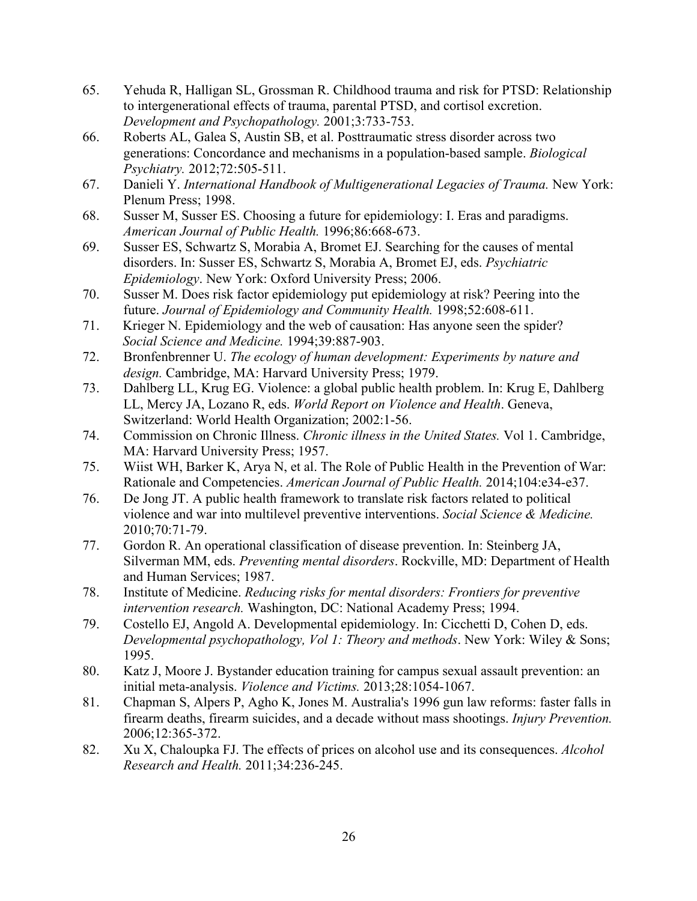- 65. Yehuda R, Halligan SL, Grossman R. Childhood trauma and risk for PTSD: Relationship to intergenerational effects of trauma, parental PTSD, and cortisol excretion. *Development and Psychopathology.* 2001;3:733-753.
- 66. Roberts AL, Galea S, Austin SB, et al. Posttraumatic stress disorder across two generations: Concordance and mechanisms in a population-based sample. *Biological Psychiatry.* 2012;72:505-511.
- 67. Danieli Y. *International Handbook of Multigenerational Legacies of Trauma.* New York: Plenum Press; 1998.
- 68. Susser M, Susser ES. Choosing a future for epidemiology: I. Eras and paradigms. *American Journal of Public Health.* 1996;86:668-673.
- 69. Susser ES, Schwartz S, Morabia A, Bromet EJ. Searching for the causes of mental disorders. In: Susser ES, Schwartz S, Morabia A, Bromet EJ, eds. *Psychiatric Epidemiology*. New York: Oxford University Press; 2006.
- 70. Susser M. Does risk factor epidemiology put epidemiology at risk? Peering into the future. *Journal of Epidemiology and Community Health.* 1998;52:608-611.
- 71. Krieger N. Epidemiology and the web of causation: Has anyone seen the spider? *Social Science and Medicine.* 1994;39:887-903.
- 72. Bronfenbrenner U. *The ecology of human development: Experiments by nature and design.* Cambridge, MA: Harvard University Press; 1979.
- 73. Dahlberg LL, Krug EG. Violence: a global public health problem. In: Krug E, Dahlberg LL, Mercy JA, Lozano R, eds. *World Report on Violence and Health*. Geneva, Switzerland: World Health Organization; 2002:1-56.
- 74. Commission on Chronic Illness. *Chronic illness in the United States.* Vol 1. Cambridge, MA: Harvard University Press; 1957.
- 75. Wiist WH, Barker K, Arya N, et al. The Role of Public Health in the Prevention of War: Rationale and Competencies. *American Journal of Public Health.* 2014;104:e34-e37.
- 76. De Jong JT. A public health framework to translate risk factors related to political violence and war into multilevel preventive interventions. *Social Science & Medicine.* 2010;70:71-79.
- 77. Gordon R. An operational classification of disease prevention. In: Steinberg JA, Silverman MM, eds. *Preventing mental disorders*. Rockville, MD: Department of Health and Human Services; 1987.
- 78. Institute of Medicine. *Reducing risks for mental disorders: Frontiers for preventive intervention research.* Washington, DC: National Academy Press; 1994.
- 79. Costello EJ, Angold A. Developmental epidemiology. In: Cicchetti D, Cohen D, eds. *Developmental psychopathology, Vol 1: Theory and methods*. New York: Wiley & Sons; 1995.
- 80. Katz J, Moore J. Bystander education training for campus sexual assault prevention: an initial meta-analysis. *Violence and Victims.* 2013;28:1054-1067.
- 81. Chapman S, Alpers P, Agho K, Jones M. Australia's 1996 gun law reforms: faster falls in firearm deaths, firearm suicides, and a decade without mass shootings. *Injury Prevention.* 2006;12:365-372.
- 82. Xu X, Chaloupka FJ. The effects of prices on alcohol use and its consequences. *Alcohol Research and Health.* 2011;34:236-245.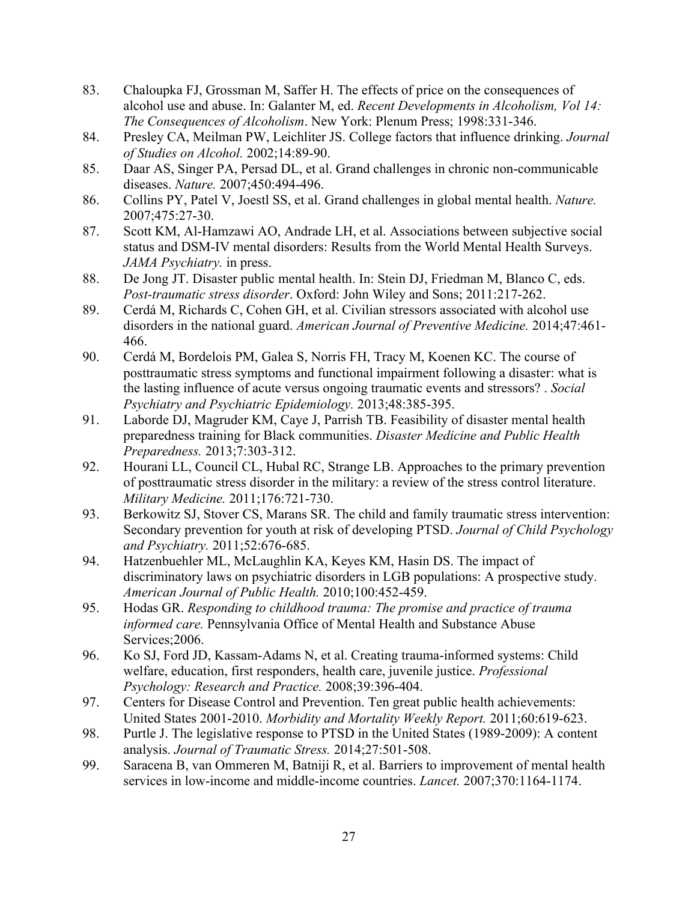- 83. Chaloupka FJ, Grossman M, Saffer H. The effects of price on the consequences of alcohol use and abuse. In: Galanter M, ed. *Recent Developments in Alcoholism, Vol 14: The Consequences of Alcoholism*. New York: Plenum Press; 1998:331-346.
- 84. Presley CA, Meilman PW, Leichliter JS. College factors that influence drinking. *Journal of Studies on Alcohol.* 2002;14:89-90.
- 85. Daar AS, Singer PA, Persad DL, et al. Grand challenges in chronic non-communicable diseases. *Nature.* 2007;450:494-496.
- 86. Collins PY, Patel V, Joestl SS, et al. Grand challenges in global mental health. *Nature.* 2007;475:27-30.
- 87. Scott KM, Al-Hamzawi AO, Andrade LH, et al. Associations between subjective social status and DSM-IV mental disorders: Results from the World Mental Health Surveys. *JAMA Psychiatry.* in press.
- 88. De Jong JT. Disaster public mental health. In: Stein DJ, Friedman M, Blanco C, eds. *Post-traumatic stress disorder*. Oxford: John Wiley and Sons; 2011:217-262.
- 89. Cerdá M, Richards C, Cohen GH, et al. Civilian stressors associated with alcohol use disorders in the national guard. *American Journal of Preventive Medicine.* 2014;47:461- 466.
- 90. Cerdá M, Bordelois PM, Galea S, Norris FH, Tracy M, Koenen KC. The course of posttraumatic stress symptoms and functional impairment following a disaster: what is the lasting influence of acute versus ongoing traumatic events and stressors? . *Social Psychiatry and Psychiatric Epidemiology.* 2013;48:385-395.
- 91. Laborde DJ, Magruder KM, Caye J, Parrish TB. Feasibility of disaster mental health preparedness training for Black communities. *Disaster Medicine and Public Health Preparedness.* 2013;7:303-312.
- 92. Hourani LL, Council CL, Hubal RC, Strange LB. Approaches to the primary prevention of posttraumatic stress disorder in the military: a review of the stress control literature. *Military Medicine.* 2011;176:721-730.
- 93. Berkowitz SJ, Stover CS, Marans SR. The child and family traumatic stress intervention: Secondary prevention for youth at risk of developing PTSD. *Journal of Child Psychology and Psychiatry.* 2011;52:676-685.
- 94. Hatzenbuehler ML, McLaughlin KA, Keyes KM, Hasin DS. The impact of discriminatory laws on psychiatric disorders in LGB populations: A prospective study. *American Journal of Public Health.* 2010;100:452-459.
- 95. Hodas GR. *Responding to childhood trauma: The promise and practice of trauma informed care.* Pennsylvania Office of Mental Health and Substance Abuse Services: 2006.
- 96. Ko SJ, Ford JD, Kassam-Adams N, et al. Creating trauma-informed systems: Child welfare, education, first responders, health care, juvenile justice. *Professional Psychology: Research and Practice.* 2008;39:396-404.
- 97. Centers for Disease Control and Prevention. Ten great public health achievements: United States 2001-2010. *Morbidity and Mortality Weekly Report.* 2011;60:619-623.
- 98. Purtle J. The legislative response to PTSD in the United States (1989-2009): A content analysis. *Journal of Traumatic Stress.* 2014;27:501-508.
- 99. Saracena B, van Ommeren M, Batniji R, et al. Barriers to improvement of mental health services in low-income and middle-income countries. *Lancet.* 2007;370:1164-1174.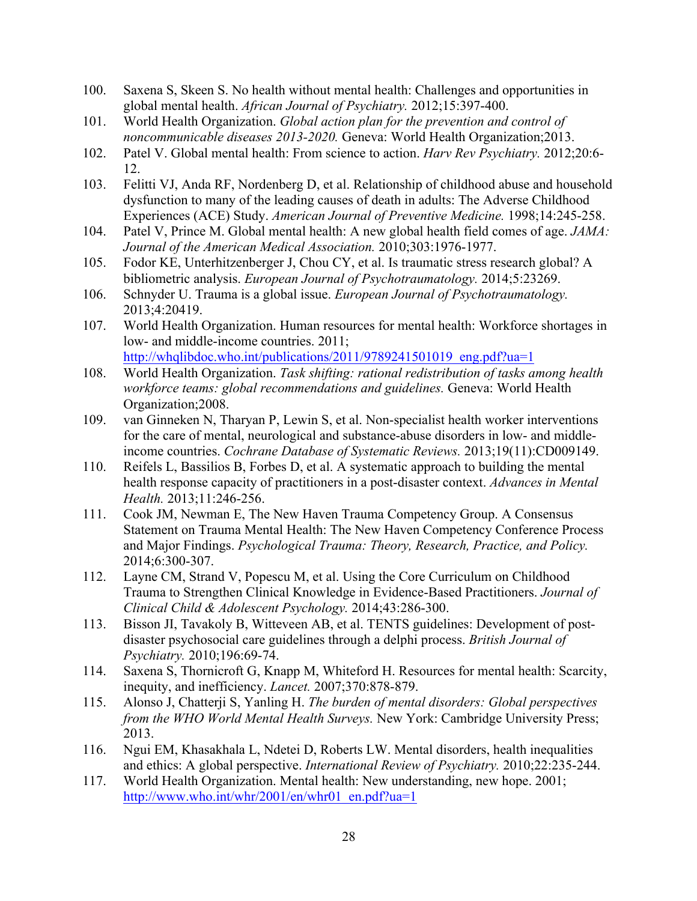- 100. Saxena S, Skeen S. No health without mental health: Challenges and opportunities in global mental health. *African Journal of Psychiatry.* 2012;15:397-400.
- 101. World Health Organization. *Global action plan for the prevention and control of noncommunicable diseases 2013-2020.* Geneva: World Health Organization;2013.
- 102. Patel V. Global mental health: From science to action. *Harv Rev Psychiatry.* 2012;20:6- 12.
- 103. Felitti VJ, Anda RF, Nordenberg D, et al. Relationship of childhood abuse and household dysfunction to many of the leading causes of death in adults: The Adverse Childhood Experiences (ACE) Study. *American Journal of Preventive Medicine.* 1998;14:245-258.
- 104. Patel V, Prince M. Global mental health: A new global health field comes of age. *JAMA: Journal of the American Medical Association.* 2010;303:1976-1977.
- 105. Fodor KE, Unterhitzenberger J, Chou CY, et al. Is traumatic stress research global? A bibliometric analysis. *European Journal of Psychotraumatology.* 2014;5:23269.
- 106. Schnyder U. Trauma is a global issue. *European Journal of Psychotraumatology.*  2013;4:20419.
- 107. World Health Organization. Human resources for mental health: Workforce shortages in low- and middle-income countries. 2011; http://whqlibdoc.who.int/publications/2011/9789241501019\_eng.pdf?ua=1
- 108. World Health Organization. *Task shifting: rational redistribution of tasks among health workforce teams: global recommendations and guidelines.* Geneva: World Health Organization;2008.
- 109. van Ginneken N, Tharyan P, Lewin S, et al. Non-specialist health worker interventions for the care of mental, neurological and substance-abuse disorders in low- and middleincome countries. *Cochrane Database of Systematic Reviews.* 2013;19(11):CD009149.
- 110. Reifels L, Bassilios B, Forbes D, et al. A systematic approach to building the mental health response capacity of practitioners in a post-disaster context. *Advances in Mental Health.* 2013;11:246-256.
- 111. Cook JM, Newman E, The New Haven Trauma Competency Group. A Consensus Statement on Trauma Mental Health: The New Haven Competency Conference Process and Major Findings. *Psychological Trauma: Theory, Research, Practice, and Policy.*  2014;6:300-307.
- 112. Layne CM, Strand V, Popescu M, et al. Using the Core Curriculum on Childhood Trauma to Strengthen Clinical Knowledge in Evidence-Based Practitioners. *Journal of Clinical Child & Adolescent Psychology.* 2014;43:286-300.
- 113. Bisson JI, Tavakoly B, Witteveen AB, et al. TENTS guidelines: Development of postdisaster psychosocial care guidelines through a delphi process. *British Journal of Psychiatry.* 2010;196:69-74.
- 114. Saxena S, Thornicroft G, Knapp M, Whiteford H. Resources for mental health: Scarcity, inequity, and inefficiency. *Lancet.* 2007;370:878-879.
- 115. Alonso J, Chatterji S, Yanling H. *The burden of mental disorders: Global perspectives from the WHO World Mental Health Surveys.* New York: Cambridge University Press; 2013.
- 116. Ngui EM, Khasakhala L, Ndetei D, Roberts LW. Mental disorders, health inequalities and ethics: A global perspective. *International Review of Psychiatry.* 2010;22:235-244.
- 117. World Health Organization. Mental health: New understanding, new hope. 2001; http://www.who.int/whr/2001/en/whr01\_en.pdf?ua=1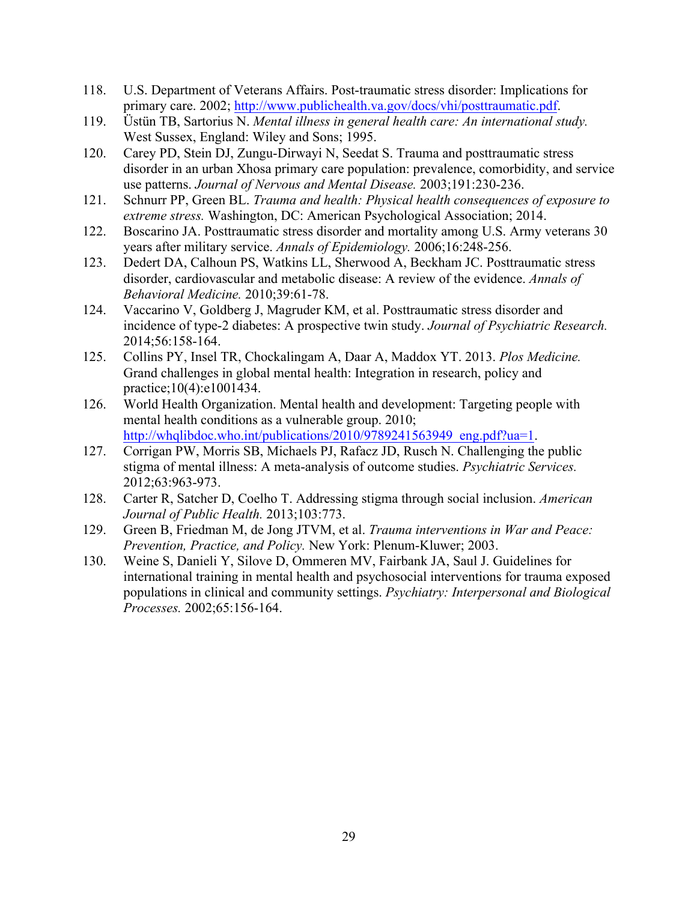- 118. U.S. Department of Veterans Affairs. Post-traumatic stress disorder: Implications for primary care. 2002; http://www.publichealth.va.gov/docs/vhi/posttraumatic.pdf.
- 119. Üstün TB, Sartorius N. *Mental illness in general health care: An international study.* West Sussex, England: Wiley and Sons; 1995.
- 120. Carey PD, Stein DJ, Zungu-Dirwayi N, Seedat S. Trauma and posttraumatic stress disorder in an urban Xhosa primary care population: prevalence, comorbidity, and service use patterns. *Journal of Nervous and Mental Disease.* 2003;191:230-236.
- 121. Schnurr PP, Green BL. *Trauma and health: Physical health consequences of exposure to extreme stress.* Washington, DC: American Psychological Association; 2014.
- 122. Boscarino JA. Posttraumatic stress disorder and mortality among U.S. Army veterans 30 years after military service. *Annals of Epidemiology.* 2006;16:248-256.
- 123. Dedert DA, Calhoun PS, Watkins LL, Sherwood A, Beckham JC. Posttraumatic stress disorder, cardiovascular and metabolic disease: A review of the evidence. *Annals of Behavioral Medicine.* 2010;39:61-78.
- 124. Vaccarino V, Goldberg J, Magruder KM, et al. Posttraumatic stress disorder and incidence of type-2 diabetes: A prospective twin study. *Journal of Psychiatric Research.*  2014;56:158-164.
- 125. Collins PY, Insel TR, Chockalingam A, Daar A, Maddox YT. 2013. *Plos Medicine.*  Grand challenges in global mental health: Integration in research, policy and practice;10(4):e1001434.
- 126. World Health Organization. Mental health and development: Targeting people with mental health conditions as a vulnerable group. 2010; http://whqlibdoc.who.int/publications/2010/9789241563949\_eng.pdf?ua=1.
- 127. Corrigan PW, Morris SB, Michaels PJ, Rafacz JD, Rusch N. Challenging the public stigma of mental illness: A meta-analysis of outcome studies. *Psychiatric Services.*  2012;63:963-973.
- 128. Carter R, Satcher D, Coelho T. Addressing stigma through social inclusion. *American Journal of Public Health.* 2013;103:773.
- 129. Green B, Friedman M, de Jong JTVM, et al. *Trauma interventions in War and Peace: Prevention, Practice, and Policy.* New York: Plenum-Kluwer; 2003.
- 130. Weine S, Danieli Y, Silove D, Ommeren MV, Fairbank JA, Saul J. Guidelines for international training in mental health and psychosocial interventions for trauma exposed populations in clinical and community settings. *Psychiatry: Interpersonal and Biological Processes.* 2002;65:156-164.